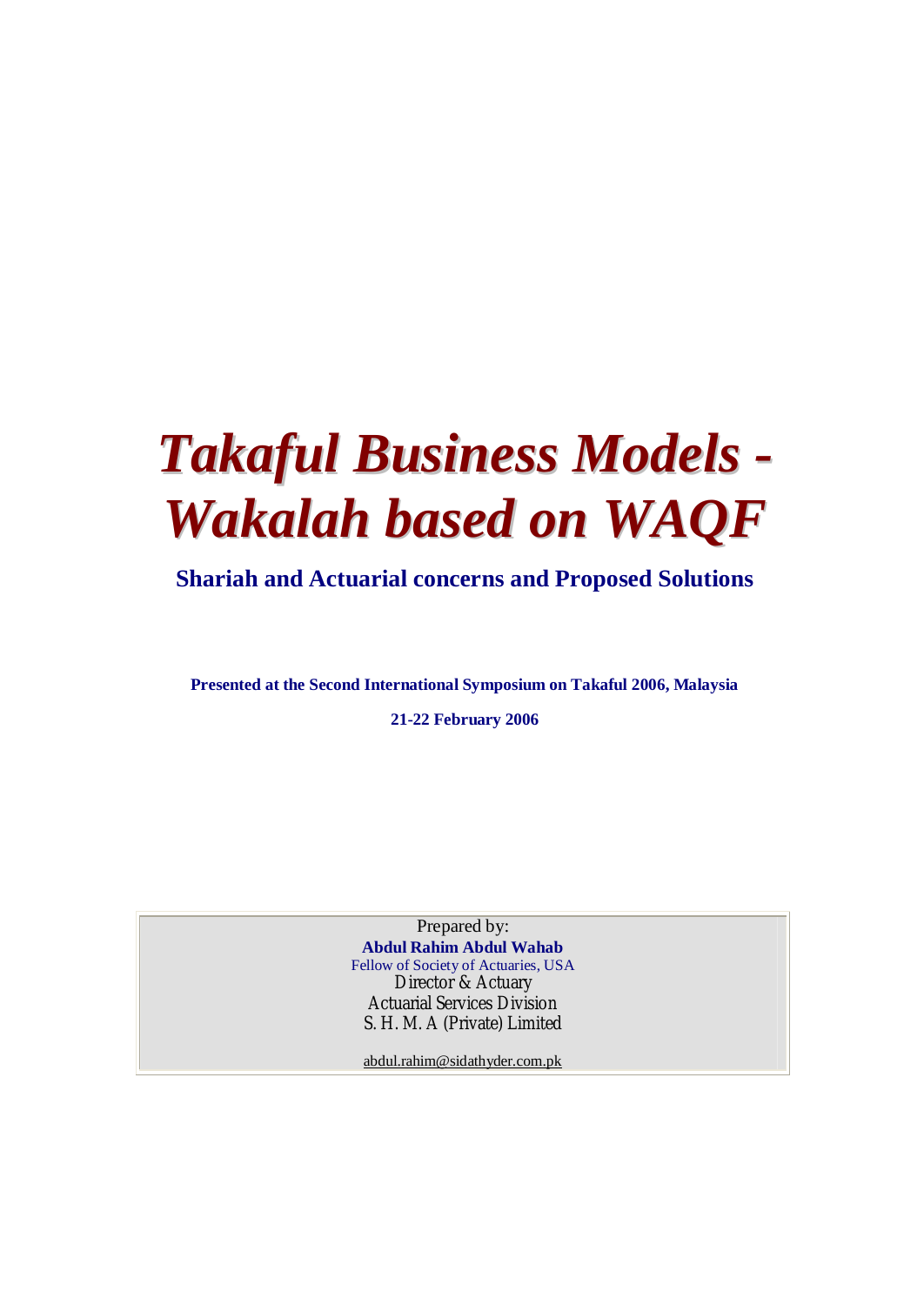# *Takaful Business Models - Wakalah based on WAQF*

# **Shariah and Actuarial concerns and Proposed Solutions**

**Presented at the Second International Symposium on Takaful 2006, Malaysia** 

**21-22 February 2006** 

Prepared by: **Abdul Rahim Abdul Wahab** Fellow of Society of Actuaries, USA Director & Actuary Actuarial Services Division S. H. M. A (Private) Limited

[abdul.rahim@sidathyder.com.pk](mailto:abdul.rahim@sidathyder.com.pk)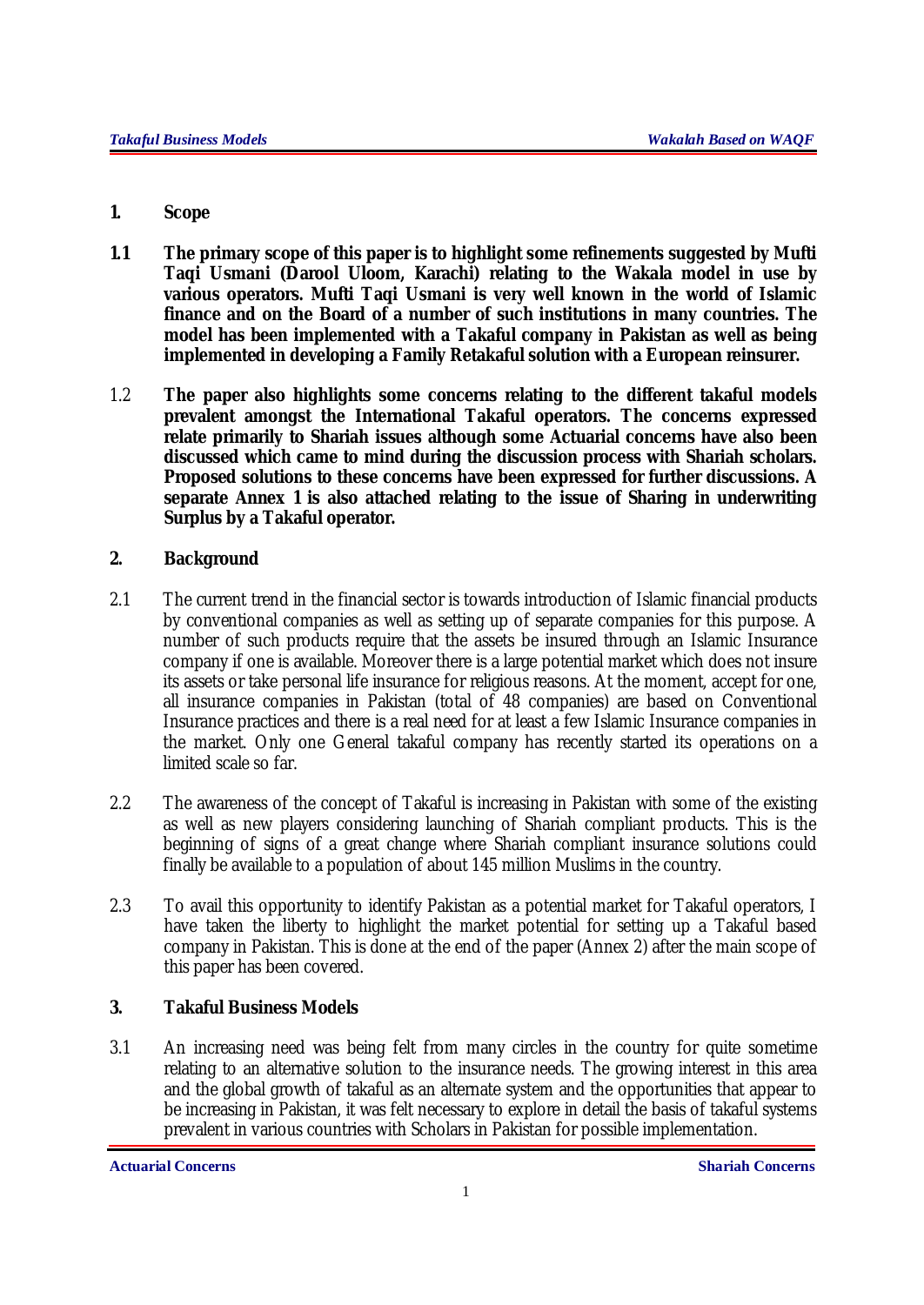## **1. Scope**

- **1.1 The primary scope of this paper is to highlight some refinements suggested by Mufti Taqi Usmani (Darool Uloom, Karachi) relating to the Wakala model in use by various operators. Mufti Taqi Usmani is very well known in the world of Islamic finance and on the Board of a number of such institutions in many countries. The model has been implemented with a Takaful company in Pakistan as well as being implemented in developing a Family Retakaful solution with a European reinsurer.**
- 1.2 **The paper also highlights some concerns relating to the different takaful models prevalent amongst the International Takaful operators. The concerns expressed relate primarily to Shariah issues although some Actuarial concerns have also been discussed which came to mind during the discussion process with Shariah scholars. Proposed solutions to these concerns have been expressed for further discussions. A separate Annex 1 is also attached relating to the issue of Sharing in underwriting Surplus by a Takaful operator.**

## **2. Background**

- 2.1 The current trend in the financial sector is towards introduction of Islamic financial products by conventional companies as well as setting up of separate companies for this purpose. A number of such products require that the assets be insured through an Islamic Insurance company if one is available. Moreover there is a large potential market which does not insure its assets or take personal life insurance for religious reasons. At the moment, accept for one, all insurance companies in Pakistan (total of 48 companies) are based on Conventional Insurance practices and there is a real need for at least a few Islamic Insurance companies in the market. Only one General takaful company has recently started its operations on a limited scale so far.
- 2.2 The awareness of the concept of Takaful is increasing in Pakistan with some of the existing as well as new players considering launching of Shariah compliant products. This is the beginning of signs of a great change where Shariah compliant insurance solutions could finally be available to a population of about 145 million Muslims in the country.
- 2.3 To avail this opportunity to identify Pakistan as a potential market for Takaful operators, I have taken the liberty to highlight the market potential for setting up a Takaful based company in Pakistan. This is done at the end of the paper (Annex 2) after the main scope of this paper has been covered.

## **3. Takaful Business Models**

3.1 An increasing need was being felt from many circles in the country for quite sometime relating to an alternative solution to the insurance needs. The growing interest in this area and the global growth of takaful as an alternate system and the opportunities that appear to be increasing in Pakistan, it was felt necessary to explore in detail the basis of takaful systems prevalent in various countries with Scholars in Pakistan for possible implementation.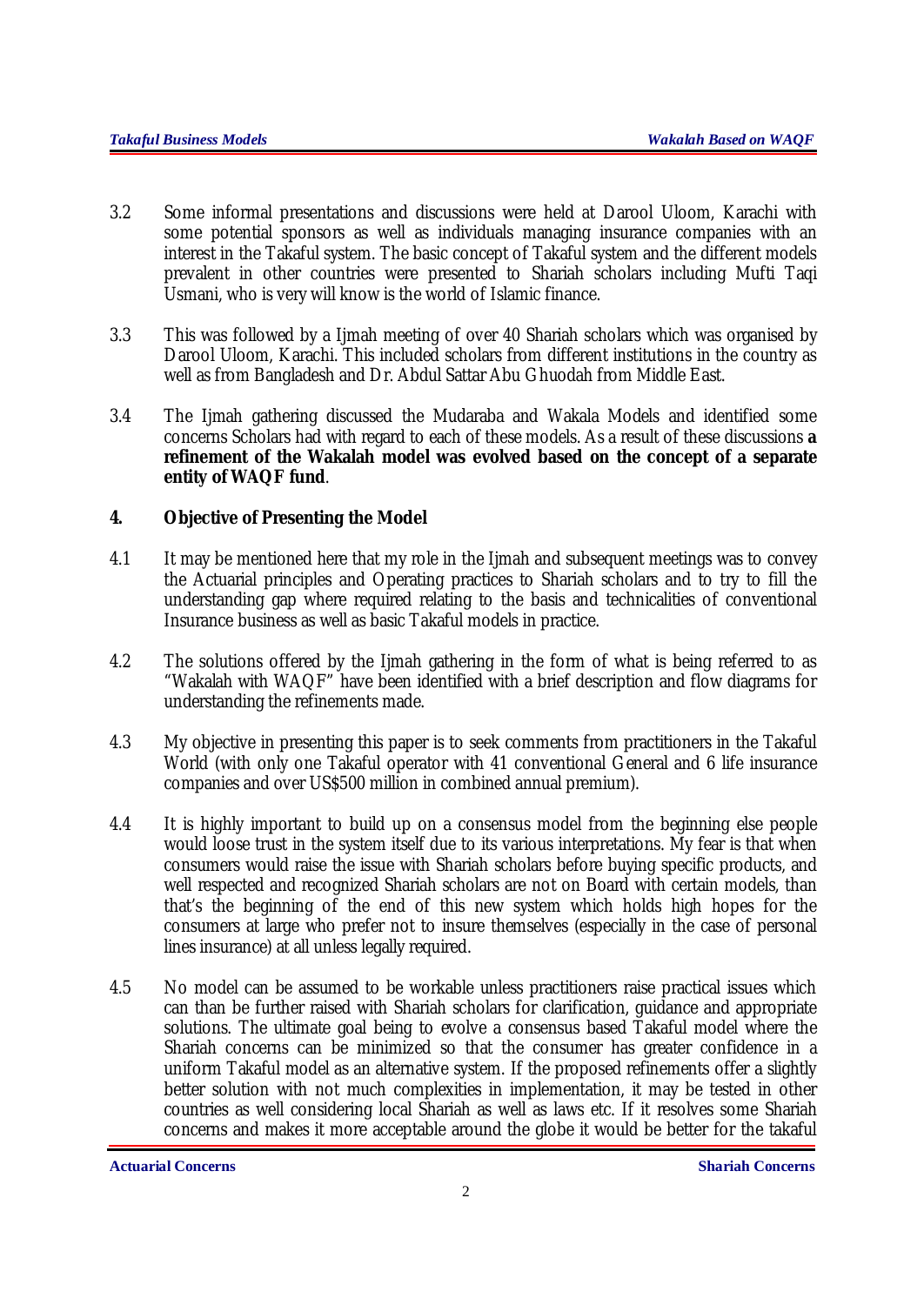- 3.2 Some informal presentations and discussions were held at Darool Uloom, Karachi with some potential sponsors as well as individuals managing insurance companies with an interest in the Takaful system. The basic concept of Takaful system and the different models prevalent in other countries were presented to Shariah scholars including Mufti Taqi Usmani, who is very will know is the world of Islamic finance.
- 3.3 This was followed by a Ijmah meeting of over 40 Shariah scholars which was organised by Darool Uloom, Karachi. This included scholars from different institutions in the country as well as from Bangladesh and Dr. Abdul Sattar Abu Ghuodah from Middle East.
- 3.4 The Iimah gathering discussed the Mudaraba and Wakala Models and identified some concerns Scholars had with regard to each of these models. As a result of these discussions **a refinement of the Wakalah model was evolved based on the concept of a separate entity of WAQF fund**.

## **4. Objective of Presenting the Model**

- 4.1 It may be mentioned here that my role in the Ijmah and subsequent meetings was to convey the Actuarial principles and Operating practices to Shariah scholars and to try to fill the understanding gap where required relating to the basis and technicalities of conventional Insurance business as well as basic Takaful models in practice.
- 4.2 The solutions offered by the Ijmah gathering in the form of what is being referred to as "Wakalah with WAQF" have been identified with a brief description and flow diagrams for understanding the refinements made.
- 4.3 My objective in presenting this paper is to seek comments from practitioners in the Takaful World (with only one Takaful operator with 41 conventional General and 6 life insurance companies and over US\$500 million in combined annual premium).
- 4.4 It is highly important to build up on a consensus model from the beginning else people would loose trust in the system itself due to its various interpretations. My fear is that when consumers would raise the issue with Shariah scholars before buying specific products, and well respected and recognized Shariah scholars are not on Board with certain models, than that's the beginning of the end of this new system which holds high hopes for the consumers at large who prefer not to insure themselves (especially in the case of personal lines insurance) at all unless legally required.
- 4.5 No model can be assumed to be workable unless practitioners raise practical issues which can than be further raised with Shariah scholars for clarification, guidance and appropriate solutions. The ultimate goal being to evolve a consensus based Takaful model where the Shariah concerns can be minimized so that the consumer has greater confidence in a uniform Takaful model as an alternative system. If the proposed refinements offer a slightly better solution with not much complexities in implementation, it may be tested in other countries as well considering local Shariah as well as laws etc. If it resolves some Shariah concerns and makes it more acceptable around the globe it would be better for the takaful

**Actuarial Concerns Shariah Concerns**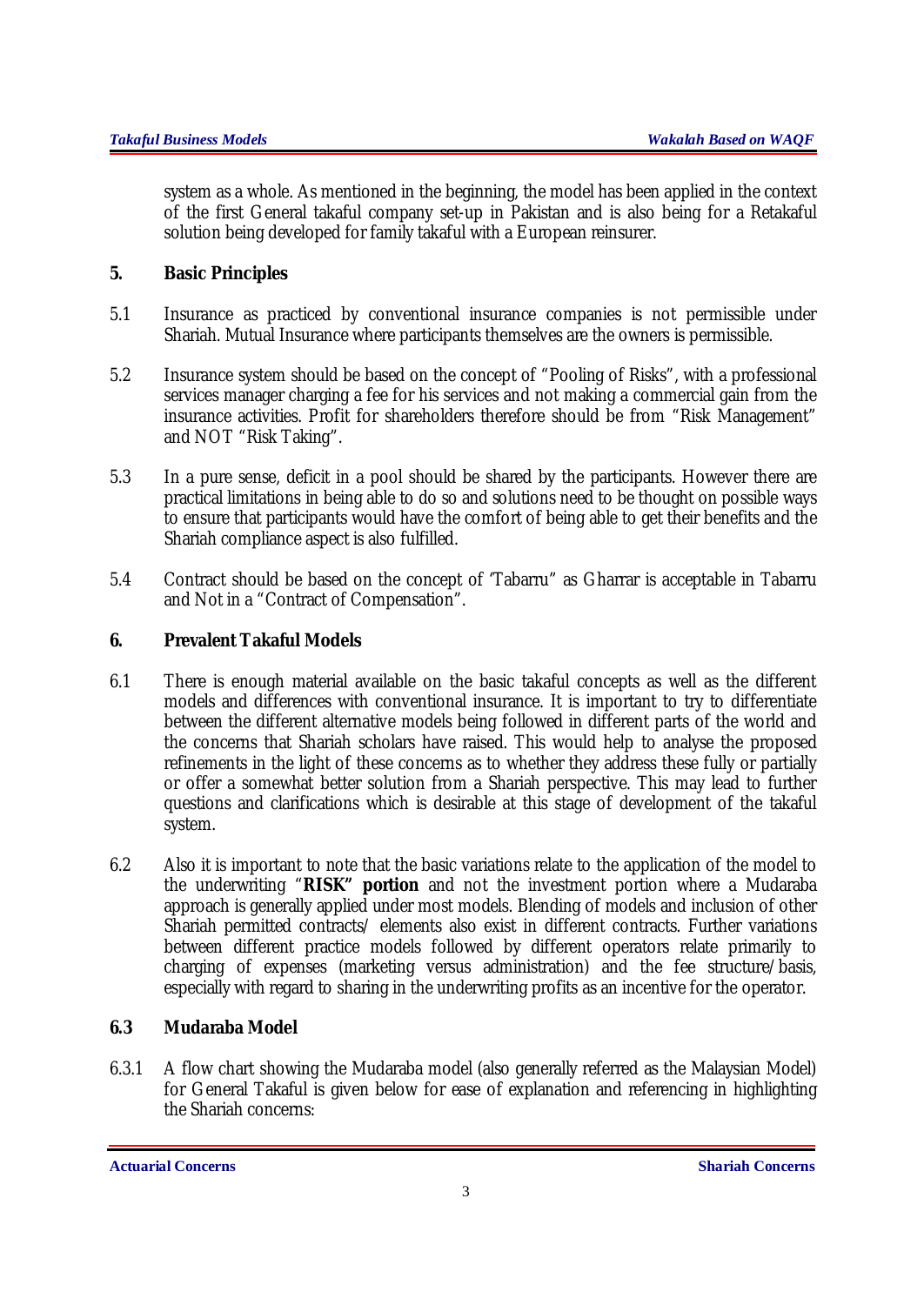system as a whole. As mentioned in the beginning, the model has been applied in the context of the first General takaful company set-up in Pakistan and is also being for a Retakaful solution being developed for family takaful with a European reinsurer.

## **5. Basic Principles**

- 5.1 Insurance as practiced by conventional insurance companies is not permissible under Shariah. Mutual Insurance where participants themselves are the owners is permissible.
- 5.2 Insurance system should be based on the concept of "Pooling of Risks", with a professional services manager charging a fee for his services and not making a commercial gain from the insurance activities. Profit for shareholders therefore should be from "Risk Management" and NOT "Risk Taking".
- 5.3 In a pure sense, deficit in a pool should be shared by the participants. However there are practical limitations in being able to do so and solutions need to be thought on possible ways to ensure that participants would have the comfort of being able to get their benefits and the Shariah compliance aspect is also fulfilled.
- 5.4 Contract should be based on the concept of 'Tabarru" as Gharrar is acceptable in Tabarru and Not in a "Contract of Compensation".

## **6. Prevalent Takaful Models**

- 6.1 There is enough material available on the basic takaful concepts as well as the different models and differences with conventional insurance. It is important to try to differentiate between the different alternative models being followed in different parts of the world and the concerns that Shariah scholars have raised. This would help to analyse the proposed refinements in the light of these concerns as to whether they address these fully or partially or offer a somewhat better solution from a Shariah perspective. This may lead to further questions and clarifications which is desirable at this stage of development of the takaful system.
- 6.2 Also it is important to note that the basic variations relate to the application of the model to the underwriting "**RISK" portion** and not the investment portion where a Mudaraba approach is generally applied under most models. Blending of models and inclusion of other Shariah permitted contracts/ elements also exist in different contracts. Further variations between different practice models followed by different operators relate primarily to charging of expenses (marketing versus administration) and the fee structure/basis, especially with regard to sharing in the underwriting profits as an incentive for the operator.

## **6.3 Mudaraba Model**

6.3.1 A flow chart showing the Mudaraba model (also generally referred as the Malaysian Model) for General Takaful is given below for ease of explanation and referencing in highlighting the Shariah concerns: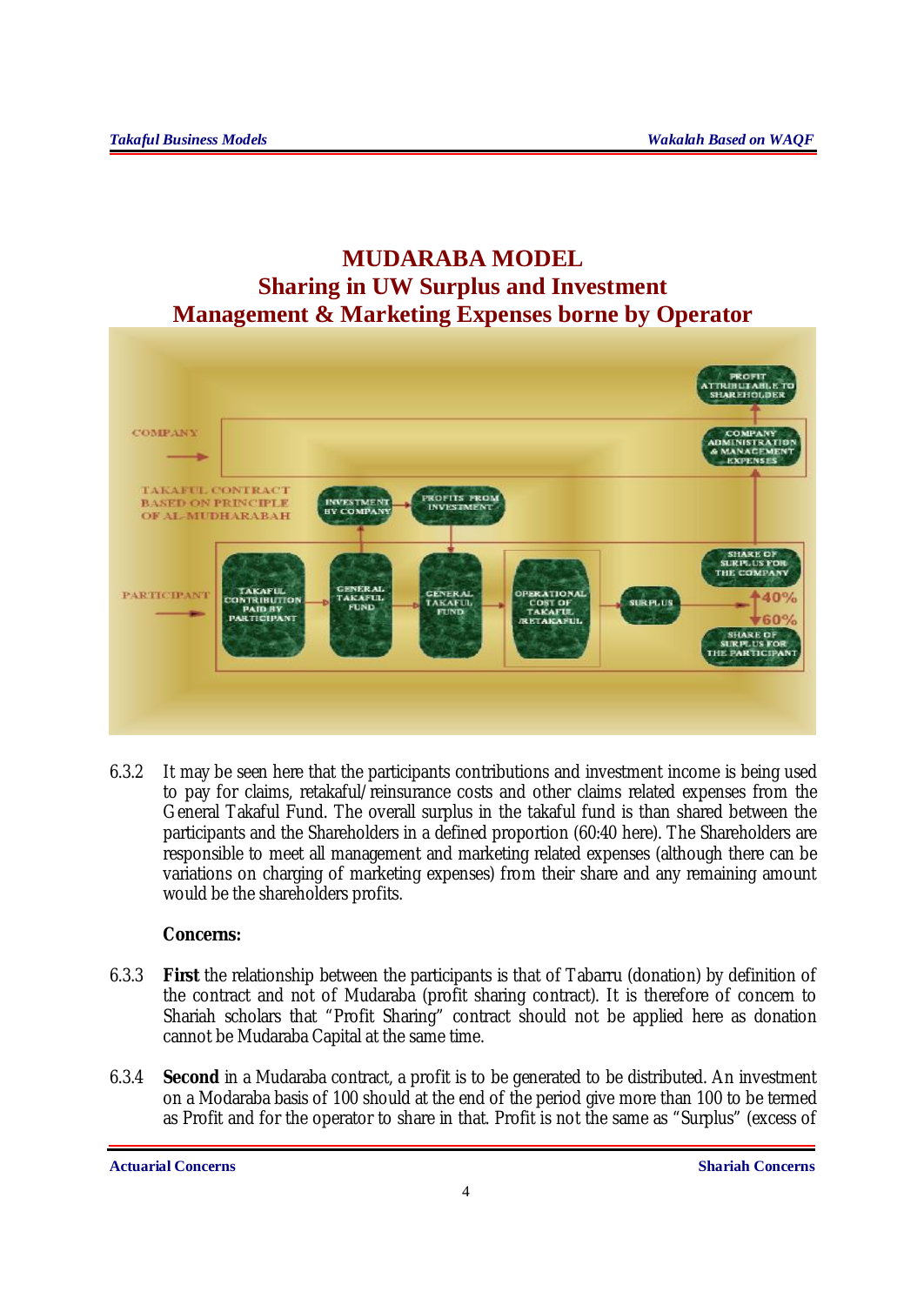# **MUDARABA MODEL Sharing in UW Surplus and Investment Management & Marketing Expenses borne by Operator**



6.3.2 It may be seen here that the participants contributions and investment income is being used to pay for claims, retakaful/reinsurance costs and other claims related expenses from the General Takaful Fund. The overall surplus in the takaful fund is than shared between the participants and the Shareholders in a defined proportion (60:40 here). The Shareholders are responsible to meet all management and marketing related expenses (although there can be variations on charging of marketing expenses) from their share and any remaining amount would be the shareholders profits.

## **Concerns:**

- 6.3.3 **First** the relationship between the participants is that of Tabarru (donation) by definition of the contract and not of Mudaraba (profit sharing contract). It is therefore of concern to Shariah scholars that "Profit Sharing" contract should not be applied here as donation cannot be Mudaraba Capital at the same time.
- 6.3.4 **Second** in a Mudaraba contract, a profit is to be generated to be distributed. An investment on a Modaraba basis of 100 should at the end of the period give more than 100 to be termed as Profit and for the operator to share in that. Profit is not the same as "Surplus" (excess of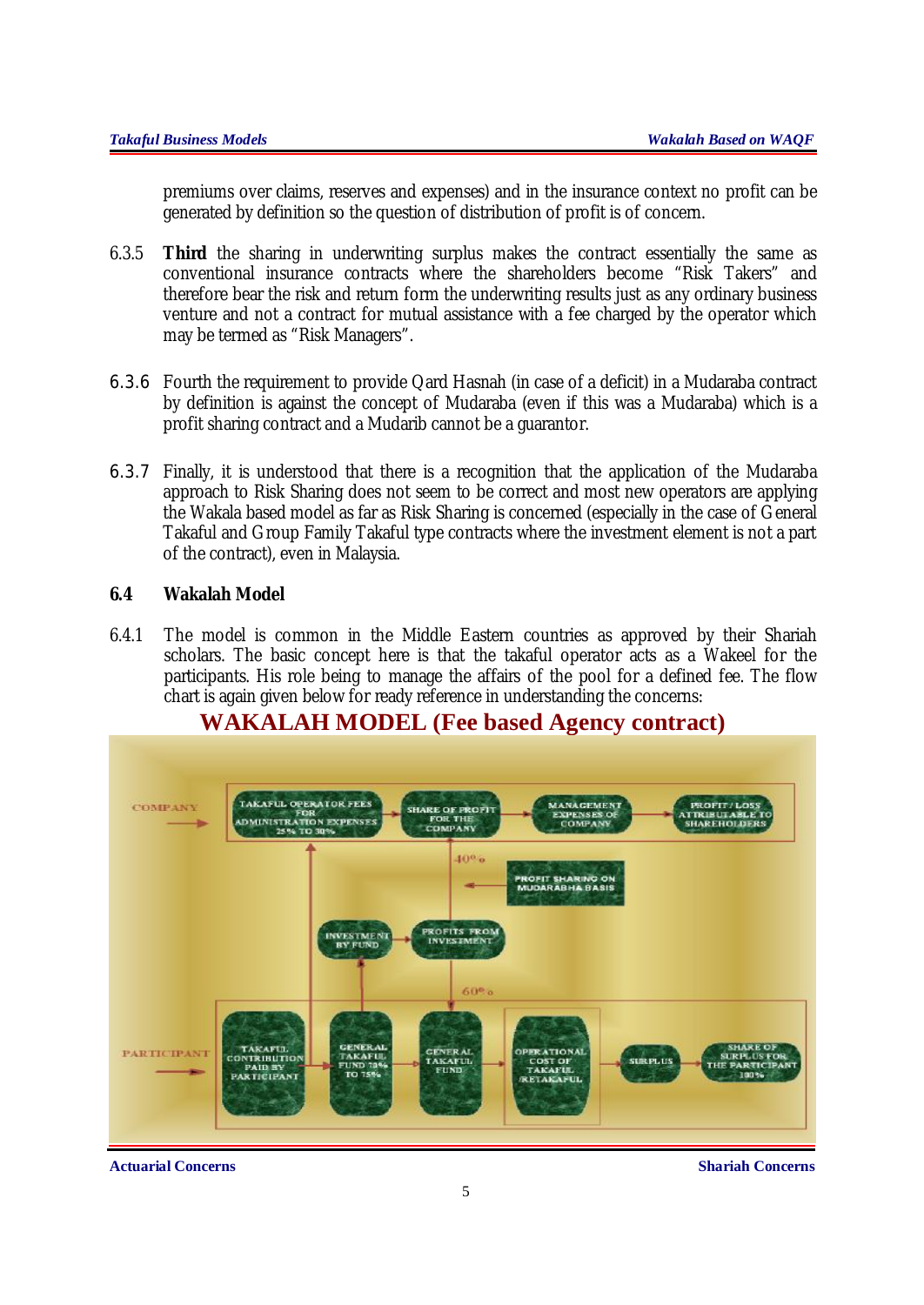premiums over claims, reserves and expenses) and in the insurance context no profit can be generated by definition so the question of distribution of profit is of concern.

- 6.3.5 **Third** the sharing in underwriting surplus makes the contract essentially the same as conventional insurance contracts where the shareholders become "Risk Takers" and therefore bear the risk and return form the underwriting results just as any ordinary business venture and not a contract for mutual assistance with a fee charged by the operator which may be termed as "Risk Managers".
- 6.3.6 Fourth the requirement to provide Qard Hasnah (in case of a deficit) in a Mudaraba contract by definition is against the concept of Mudaraba (even if this was a Mudaraba) which is a profit sharing contract and a Mudarib cannot be a guarantor.
- 6.3.7 Finally, it is understood that there is a recognition that the application of the Mudaraba approach to Risk Sharing does not seem to be correct and most new operators are applying the Wakala based model as far as Risk Sharing is concerned (especially in the case of General Takaful and Group Family Takaful type contracts where the investment element is not a part of the contract), even in Malaysia.

## **6.4 Wakalah Model**

6.4.1 The model is common in the Middle Eastern countries as approved by their Shariah scholars. The basic concept here is that the takaful operator acts as a Wakeel for the participants. His role being to manage the affairs of the pool for a defined fee. The flow chart is again given below for ready reference in understanding the concerns:



## **WAKALAH MODEL (Fee based Agency contract)**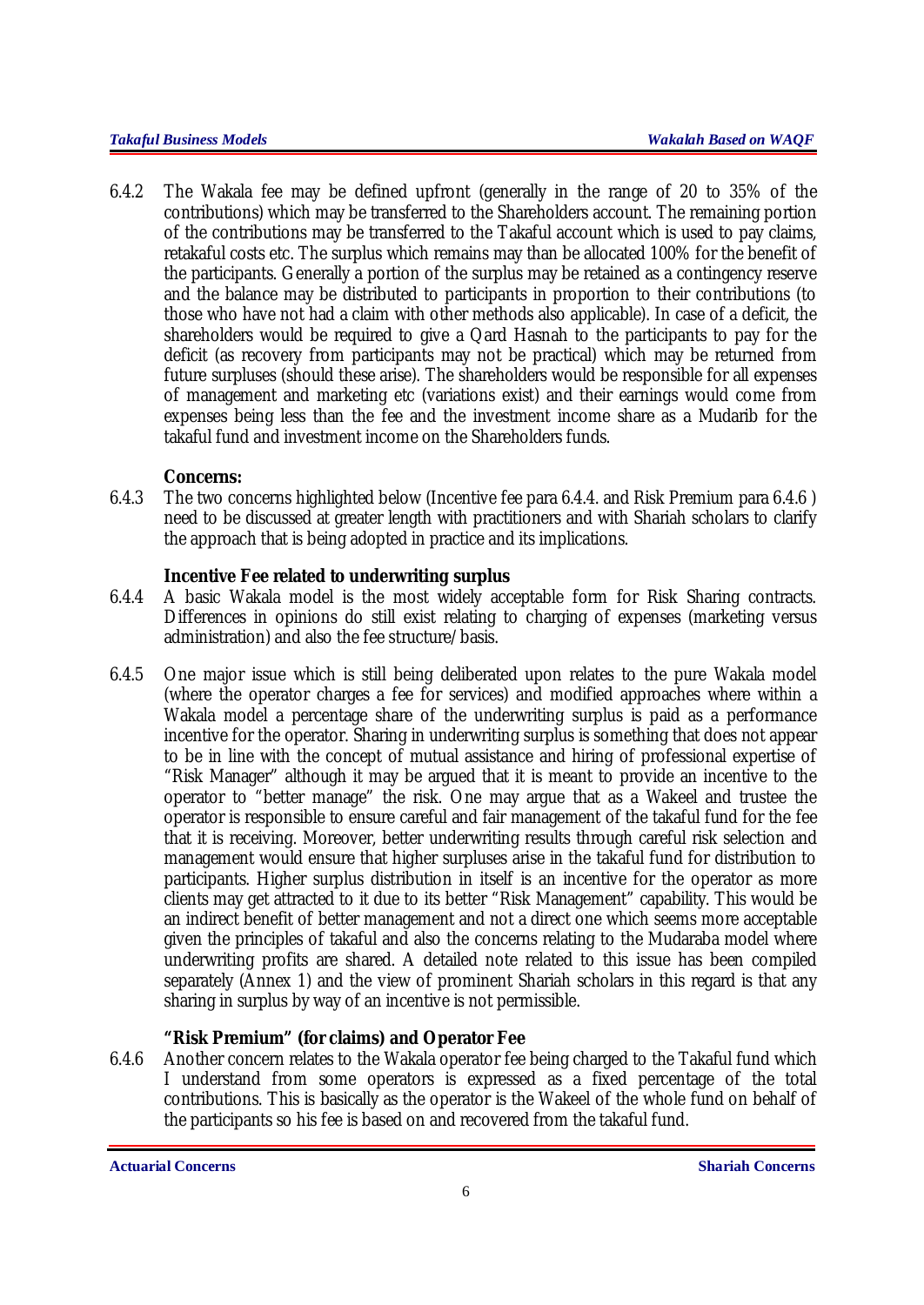6.4.2 The Wakala fee may be defined upfront (generally in the range of 20 to 35% of the contributions) which may be transferred to the Shareholders account. The remaining portion of the contributions may be transferred to the Takaful account which is used to pay claims, retakaful costs etc. The surplus which remains may than be allocated 100% for the benefit of the participants. Generally a portion of the surplus may be retained as a contingency reserve and the balance may be distributed to participants in proportion to their contributions (to those who have not had a claim with other methods also applicable). In case of a deficit, the shareholders would be required to give a Qard Hasnah to the participants to pay for the deficit (as recovery from participants may not be practical) which may be returned from future surpluses (should these arise). The shareholders would be responsible for all expenses of management and marketing etc (variations exist) and their earnings would come from expenses being less than the fee and the investment income share as a Mudarib for the takaful fund and investment income on the Shareholders funds.

## **Concerns:**

6.4.3 The two concerns highlighted below (Incentive fee para 6.4.4. and Risk Premium para 6.4.6 ) need to be discussed at greater length with practitioners and with Shariah scholars to clarify the approach that is being adopted in practice and its implications.

## **Incentive Fee related to underwriting surplus**

- 6.4.4 A basic Wakala model is the most widely acceptable form for Risk Sharing contracts. Differences in opinions do still exist relating to charging of expenses (marketing versus administration) and also the fee structure/basis.
- 6.4.5 One major issue which is still being deliberated upon relates to the pure Wakala model (where the operator charges a fee for services) and modified approaches where within a Wakala model a percentage share of the underwriting surplus is paid as a performance incentive for the operator. Sharing in underwriting surplus is something that does not appear to be in line with the concept of mutual assistance and hiring of professional expertise of "Risk Manager" although it may be argued that it is meant to provide an incentive to the operator to "better manage" the risk. One may argue that as a Wakeel and trustee the operator is responsible to ensure careful and fair management of the takaful fund for the fee that it is receiving. Moreover, better underwriting results through careful risk selection and management would ensure that higher surpluses arise in the takaful fund for distribution to participants. Higher surplus distribution in itself is an incentive for the operator as more clients may get attracted to it due to its better "Risk Management" capability. This would be an indirect benefit of better management and not a direct one which seems more acceptable given the principles of takaful and also the concerns relating to the Mudaraba model where underwriting profits are shared. A detailed note related to this issue has been compiled separately (Annex 1) and the view of prominent Shariah scholars in this regard is that any sharing in surplus by way of an incentive is not permissible.

## **"Risk Premium" (for claims) and Operator Fee**

6.4.6 Another concern relates to the Wakala operator fee being charged to the Takaful fund which I understand from some operators is expressed as a fixed percentage of the total contributions. This is basically as the operator is the Wakeel of the whole fund on behalf of the participants so his fee is based on and recovered from the takaful fund.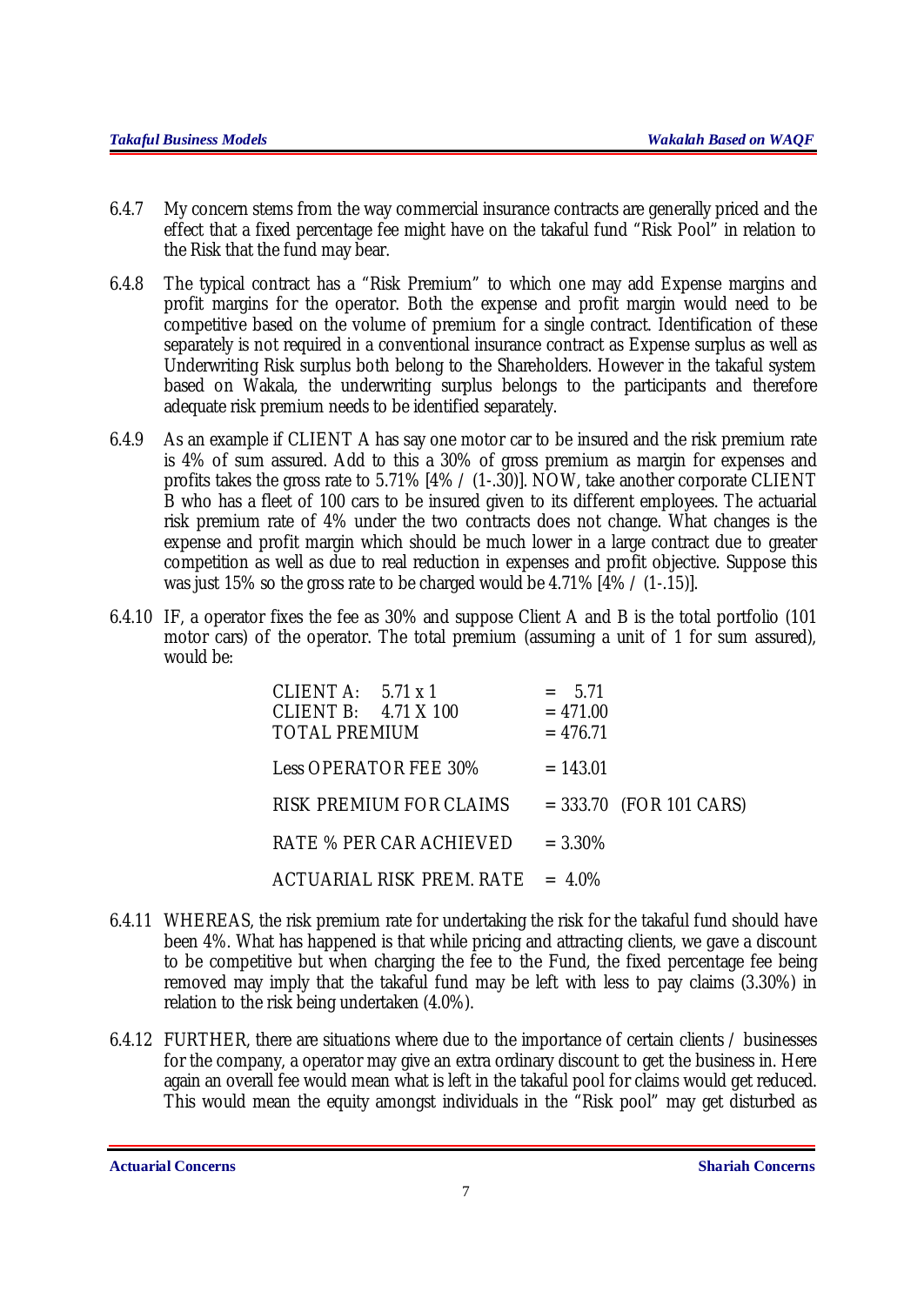- 6.4.7 My concern stems from the way commercial insurance contracts are generally priced and the effect that a fixed percentage fee might have on the takaful fund "Risk Pool" in relation to the Risk that the fund may bear.
- 6.4.8 The typical contract has a "Risk Premium" to which one may add Expense margins and profit margins for the operator. Both the expense and profit margin would need to be competitive based on the volume of premium for a single contract. Identification of these separately is not required in a conventional insurance contract as Expense surplus as well as Underwriting Risk surplus both belong to the Shareholders. However in the takaful system based on Wakala, the underwriting surplus belongs to the participants and therefore adequate risk premium needs to be identified separately.
- 6.4.9 As an example if CLIENT A has say one motor car to be insured and the risk premium rate is 4% of sum assured. Add to this a 30% of gross premium as margin for expenses and profits takes the gross rate to 5.71% [4% / (1-.30)]. NOW, take another corporate CLIENT B who has a fleet of 100 cars to be insured given to its different employees. The actuarial risk premium rate of 4% under the two contracts does not change. What changes is the expense and profit margin which should be much lower in a large contract due to greater competition as well as due to real reduction in expenses and profit objective. Suppose this was just 15% so the gross rate to be charged would be 4.71%  $[4\frac{1}{9}\times(1-15)]$ .
- 6.4.10 IF, a operator fixes the fee as 30% and suppose Client A and B is the total portfolio (101 motor cars) of the operator. The total premium (assuming a unit of 1 for sum assured), would be:

| CLIENTA: $5.71 \times 1$<br>CLIENT B: $4.71 \times 100$<br><b>TOTAL PREMIUM</b> | $= 5.71$<br>$= 471.00$<br>$= 476.71$ |                           |
|---------------------------------------------------------------------------------|--------------------------------------|---------------------------|
| <b>Less OPERATOR FEE 30%</b>                                                    | $= 143.01$                           |                           |
| <b>RISK PREMIUM FOR CLAIMS</b>                                                  |                                      | $= 333.70$ (FOR 101 CARS) |
| <b>RATE % PER CAR ACHIEVED</b>                                                  | $= 3.30\%$                           |                           |
| $ACTUARIAL RISK PREM. RATE = 4.0\%$                                             |                                      |                           |

- 6.4.11 WHEREAS, the risk premium rate for undertaking the risk for the takaful fund should have been 4%. What has happened is that while pricing and attracting clients, we gave a discount to be competitive but when charging the fee to the Fund, the fixed percentage fee being removed may imply that the takaful fund may be left with less to pay claims (3.30%) in relation to the risk being undertaken (4.0%).
- 6.4.12 FURTHER, there are situations where due to the importance of certain clients / businesses for the company, a operator may give an extra ordinary discount to get the business in. Here again an overall fee would mean what is left in the takaful pool for claims would get reduced. This would mean the equity amongst individuals in the "Risk pool" may get disturbed as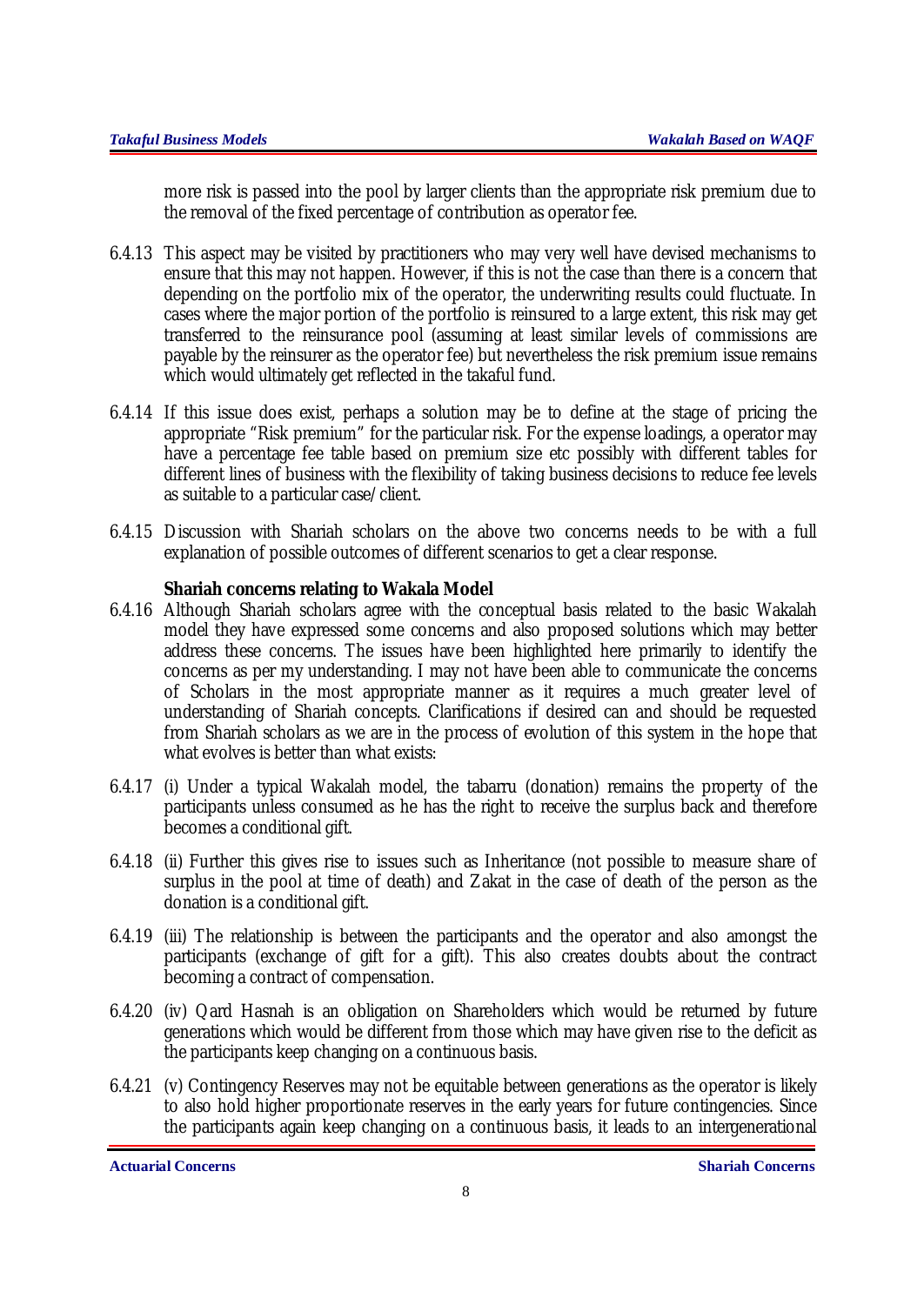more risk is passed into the pool by larger clients than the appropriate risk premium due to the removal of the fixed percentage of contribution as operator fee.

- 6.4.13 This aspect may be visited by practitioners who may very well have devised mechanisms to ensure that this may not happen. However, if this is not the case than there is a concern that depending on the portfolio mix of the operator, the underwriting results could fluctuate. In cases where the major portion of the portfolio is reinsured to a large extent, this risk may get transferred to the reinsurance pool (assuming at least similar levels of commissions are payable by the reinsurer as the operator fee) but nevertheless the risk premium issue remains which would ultimately get reflected in the takaful fund.
- 6.4.14 If this issue does exist, perhaps a solution may be to define at the stage of pricing the appropriate "Risk premium" for the particular risk. For the expense loadings, a operator may have a percentage fee table based on premium size etc possibly with different tables for different lines of business with the flexibility of taking business decisions to reduce fee levels as suitable to a particular case/client.
- 6.4.15 Discussion with Shariah scholars on the above two concerns needs to be with a full explanation of possible outcomes of different scenarios to get a clear response.

## **Shariah concerns relating to Wakala Model**

- 6.4.16 Although Shariah scholars agree with the conceptual basis related to the basic Wakalah model they have expressed some concerns and also proposed solutions which may better address these concerns. The issues have been highlighted here primarily to identify the concerns as per my understanding. I may not have been able to communicate the concerns of Scholars in the most appropriate manner as it requires a much greater level of understanding of Shariah concepts. Clarifications if desired can and should be requested from Shariah scholars as we are in the process of evolution of this system in the hope that what evolves is better than what exists:
- 6.4.17 (i) Under a typical Wakalah model, the tabarru (donation) remains the property of the participants unless consumed as he has the right to receive the surplus back and therefore becomes a conditional gift.
- 6.4.18 (ii) Further this gives rise to issues such as Inheritance (not possible to measure share of surplus in the pool at time of death) and Zakat in the case of death of the person as the donation is a conditional gift.
- 6.4.19 (iii) The relationship is between the participants and the operator and also amongst the participants (exchange of gift for a gift). This also creates doubts about the contract becoming a contract of compensation.
- 6.4.20 (iv) Qard Hasnah is an obligation on Shareholders which would be returned by future generations which would be different from those which may have given rise to the deficit as the participants keep changing on a continuous basis.
- 6.4.21 (v) Contingency Reserves may not be equitable between generations as the operator is likely to also hold higher proportionate reserves in the early years for future contingencies. Since the participants again keep changing on a continuous basis, it leads to an intergenerational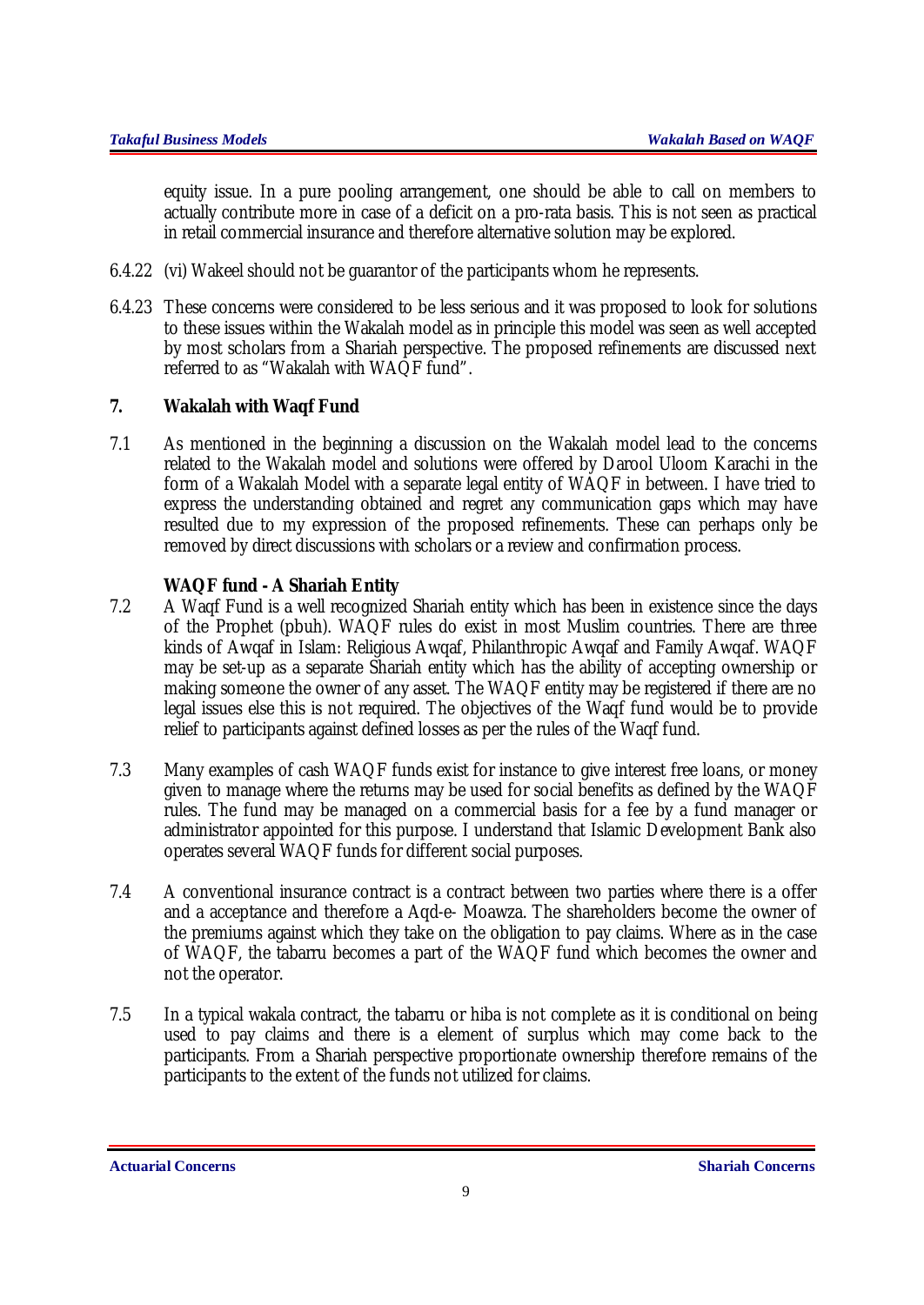equity issue. In a pure pooling arrangement, one should be able to call on members to actually contribute more in case of a deficit on a pro-rata basis. This is not seen as practical in retail commercial insurance and therefore alternative solution may be explored.

- 6.4.22 (vi) Wakeel should not be guarantor of the participants whom he represents.
- 6.4.23 These concerns were considered to be less serious and it was proposed to look for solutions to these issues within the Wakalah model as in principle this model was seen as well accepted by most scholars from a Shariah perspective. The proposed refinements are discussed next referred to as "Wakalah with WAQF fund".

## **7. Wakalah with Waqf Fund**

7.1 As mentioned in the beginning a discussion on the Wakalah model lead to the concerns related to the Wakalah model and solutions were offered by Darool Uloom Karachi in the form of a Wakalah Model with a separate legal entity of WAQF in between. I have tried to express the understanding obtained and regret any communication gaps which may have resulted due to my expression of the proposed refinements. These can perhaps only be removed by direct discussions with scholars or a review and confirmation process.

## **WAQF fund - A Shariah Entity**

- 7.2 A Waqf Fund is a well recognized Shariah entity which has been in existence since the days of the Prophet (pbuh). WAQF rules do exist in most Muslim countries. There are three kinds of Awqaf in Islam: Religious Awqaf, Philanthropic Awqaf and Family Awqaf. WAQF may be set-up as a separate Shariah entity which has the ability of accepting ownership or making someone the owner of any asset. The WAQF entity may be registered if there are no legal issues else this is not required. The objectives of the Waqf fund would be to provide relief to participants against defined losses as per the rules of the Waqf fund.
- 7.3 Many examples of cash WAQF funds exist for instance to give interest free loans, or money given to manage where the returns may be used for social benefits as defined by the WAQF rules. The fund may be managed on a commercial basis for a fee by a fund manager or administrator appointed for this purpose. I understand that Islamic Development Bank also operates several WAQF funds for different social purposes.
- 7.4 A conventional insurance contract is a contract between two parties where there is a offer and a acceptance and therefore a Aqd-e- Moawza. The shareholders become the owner of the premiums against which they take on the obligation to pay claims. Where as in the case of WAQF, the tabarru becomes a part of the WAQF fund which becomes the owner and not the operator.
- 7.5 In a typical wakala contract, the tabarru or hiba is not complete as it is conditional on being used to pay claims and there is a element of surplus which may come back to the participants. From a Shariah perspective proportionate ownership therefore remains of the participants to the extent of the funds not utilized for claims.

**Actuarial Concerns Shariah Concerns**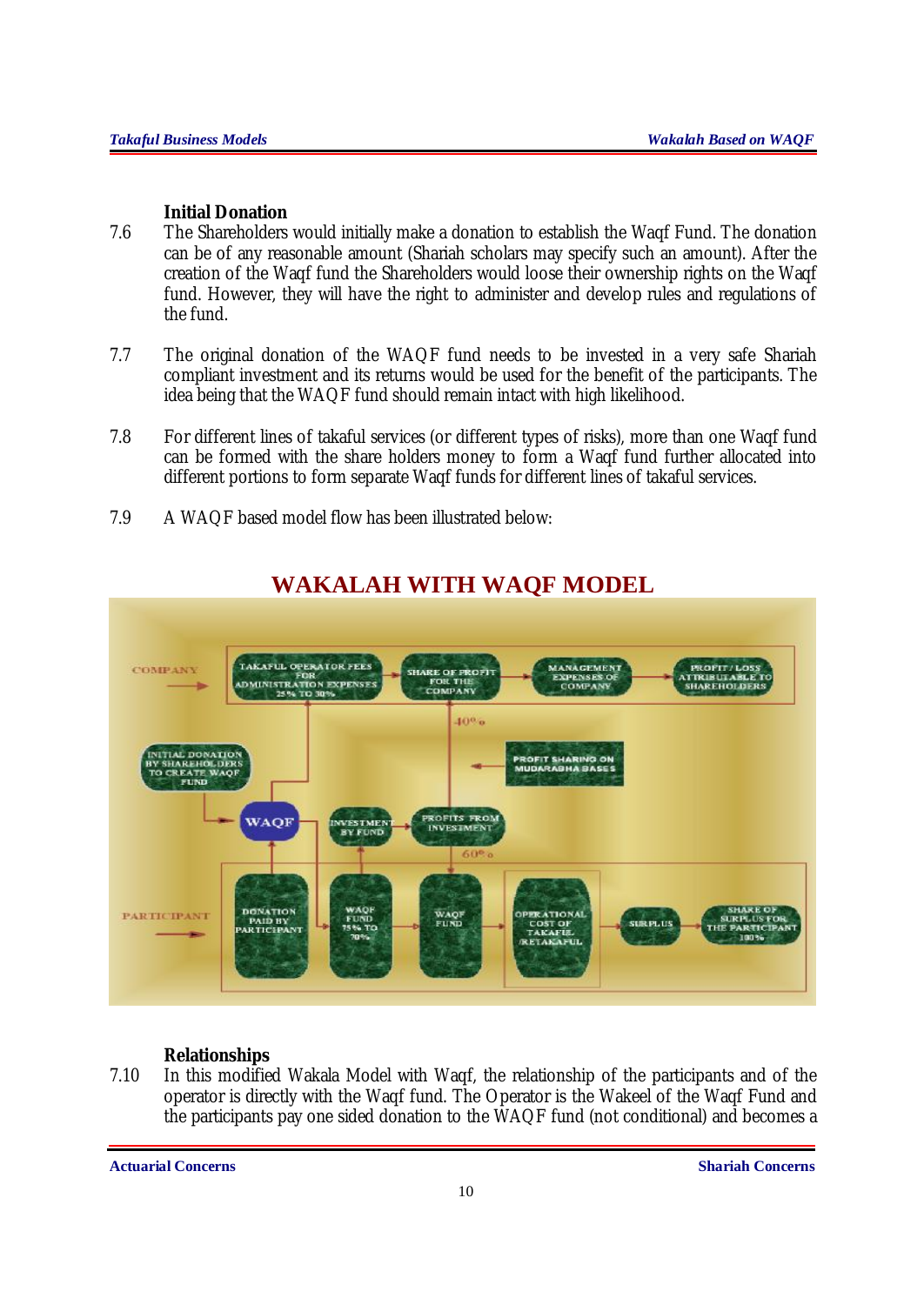## **Initial Donation**

- 7.6 The Shareholders would initially make a donation to establish the Waqf Fund. The donation can be of any reasonable amount (Shariah scholars may specify such an amount). After the creation of the Waqf fund the Shareholders would loose their ownership rights on the Waqf fund. However, they will have the right to administer and develop rules and regulations of the fund.
- 7.7 The original donation of the WAQF fund needs to be invested in a very safe Shariah compliant investment and its returns would be used for the benefit of the participants. The idea being that the WAQF fund should remain intact with high likelihood.
- 7.8 For different lines of takaful services (or different types of risks), more than one Waqf fund can be formed with the share holders money to form a Waqf fund further allocated into different portions to form separate Waqf funds for different lines of takaful services.
- 7.9 A WAQF based model flow has been illustrated below:



# **WAKALAH WITH WAQF MODEL**

## **Relationships**

7.10 In this modified Wakala Model with Waqf, the relationship of the participants and of the operator is directly with the Waqf fund. The Operator is the Wakeel of the Waqf Fund and the participants pay one sided donation to the WAQF fund (not conditional) and becomes a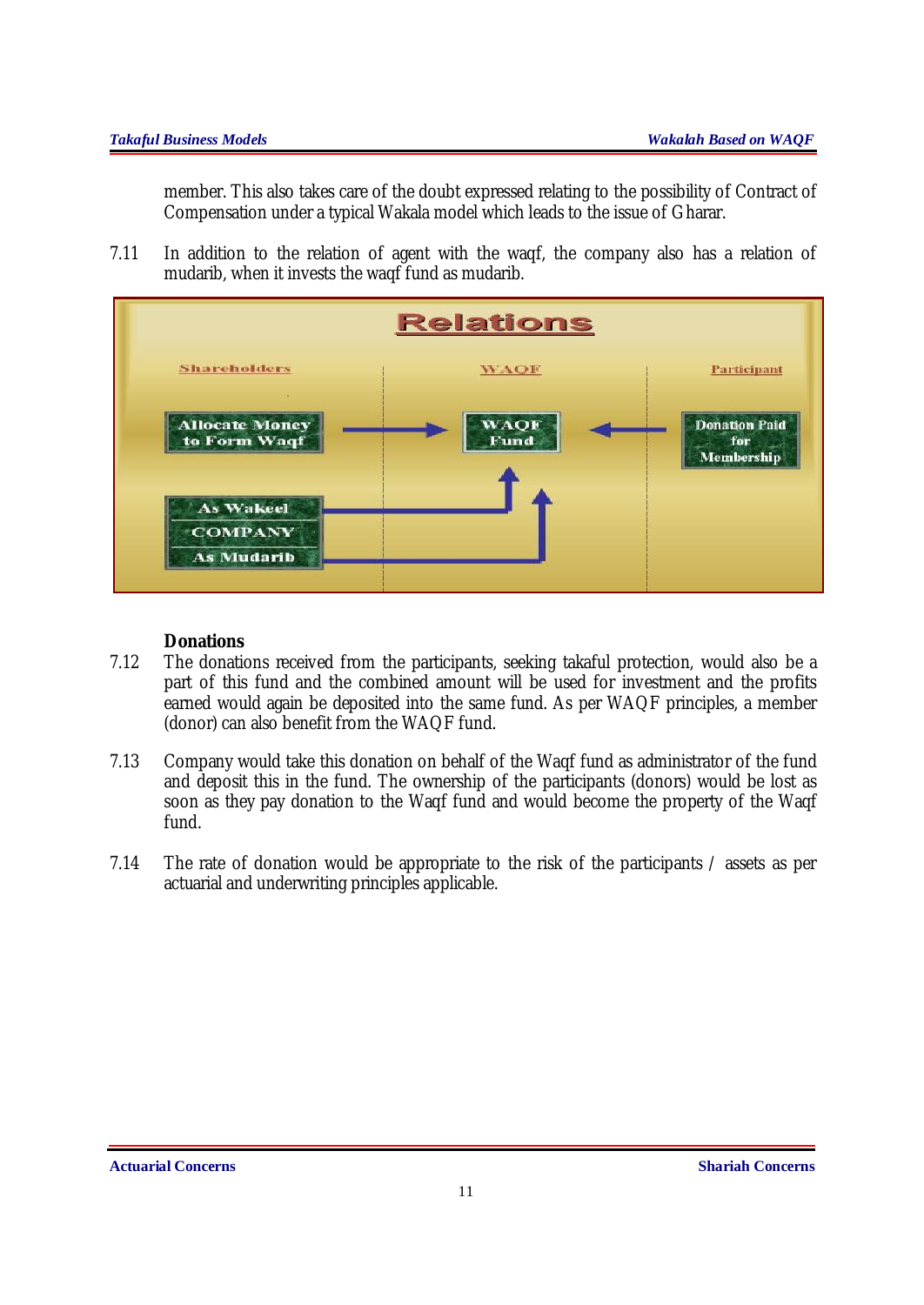member. This also takes care of the doubt expressed relating to the possibility of Contract of Compensation under a typical Wakala model which leads to the issue of Gharar.

7.11 In addition to the relation of agent with the waqf, the company also has a relation of mudarib, when it invests the waqf fund as mudarib.



## **Donations**

- 7.12 The donations received from the participants, seeking takaful protection, would also be a part of this fund and the combined amount will be used for investment and the profits earned would again be deposited into the same fund. As per WAQF principles, a member (donor) can also benefit from the WAQF fund.
- 7.13 Company would take this donation on behalf of the Waqf fund as administrator of the fund and deposit this in the fund. The ownership of the participants (donors) would be lost as soon as they pay donation to the Waqf fund and would become the property of the Waqf fund.
- 7.14 The rate of donation would be appropriate to the risk of the participants / assets as per actuarial and underwriting principles applicable.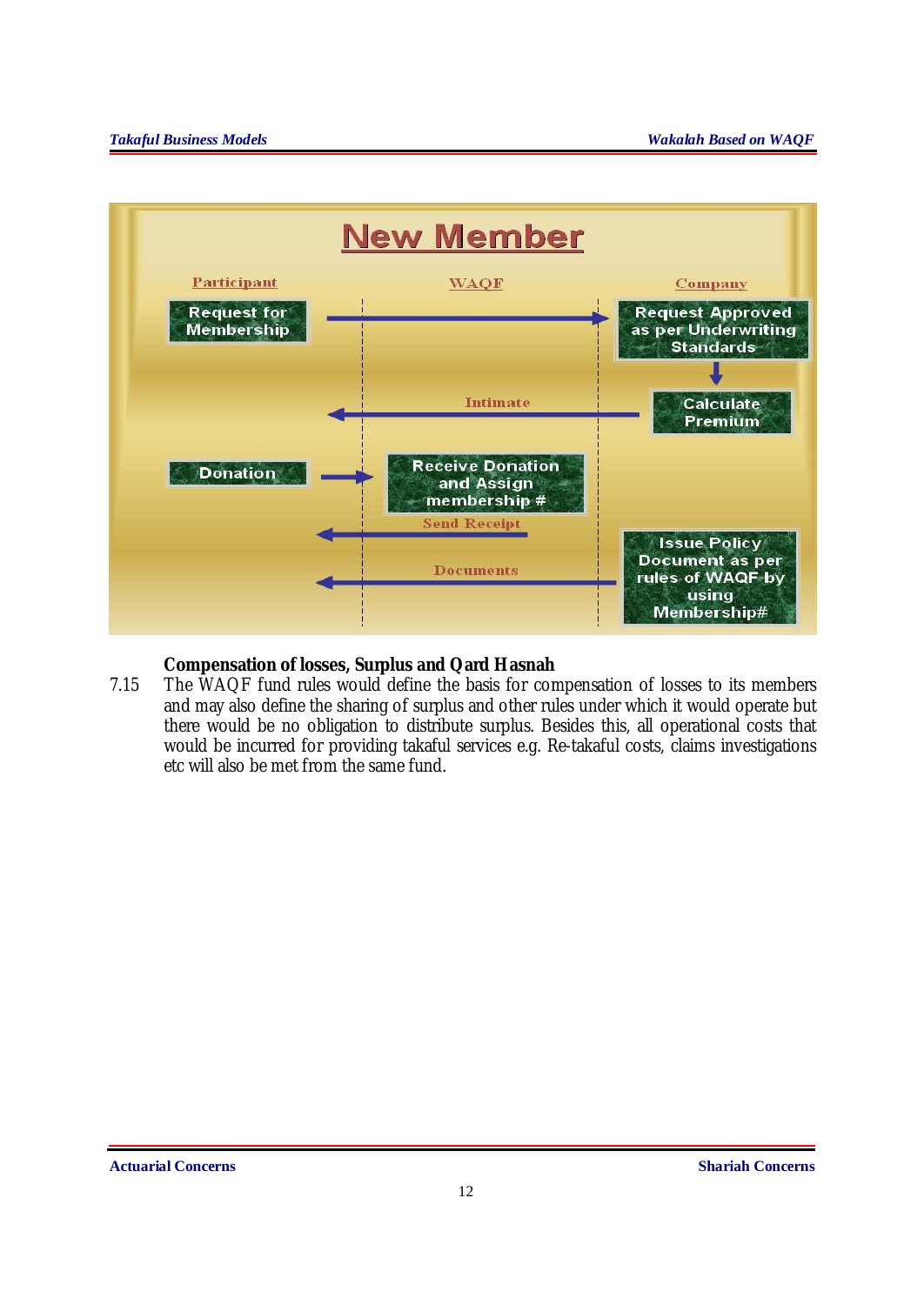

## **Compensation of losses, Surplus and Qard Hasnah**

7.15 The WAQF fund rules would define the basis for compensation of losses to its members and may also define the sharing of surplus and other rules under which it would operate but there would be no obligation to distribute surplus. Besides this, all operational costs that would be incurred for providing takaful services e.g. Re-takaful costs, claims investigations etc will also be met from the same fund.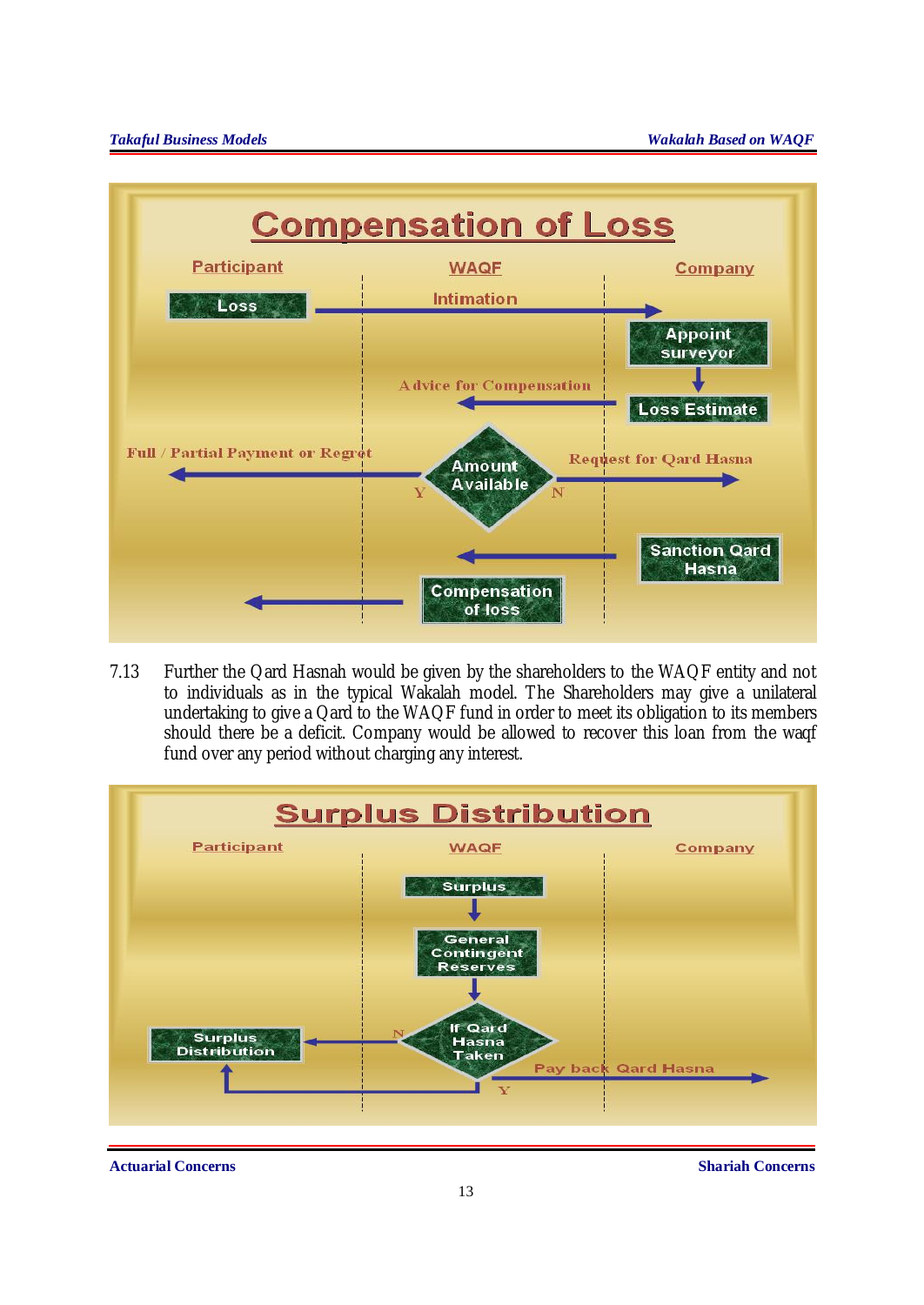

7.13 Further the Qard Hasnah would be given by the shareholders to the WAQF entity and not to individuals as in the typical Wakalah model. The Shareholders may give a unilateral undertaking to give a Qard to the WAQF fund in order to meet its obligation to its members should there be a deficit. Company would be allowed to recover this loan from the waqf fund over any period without charging any interest.

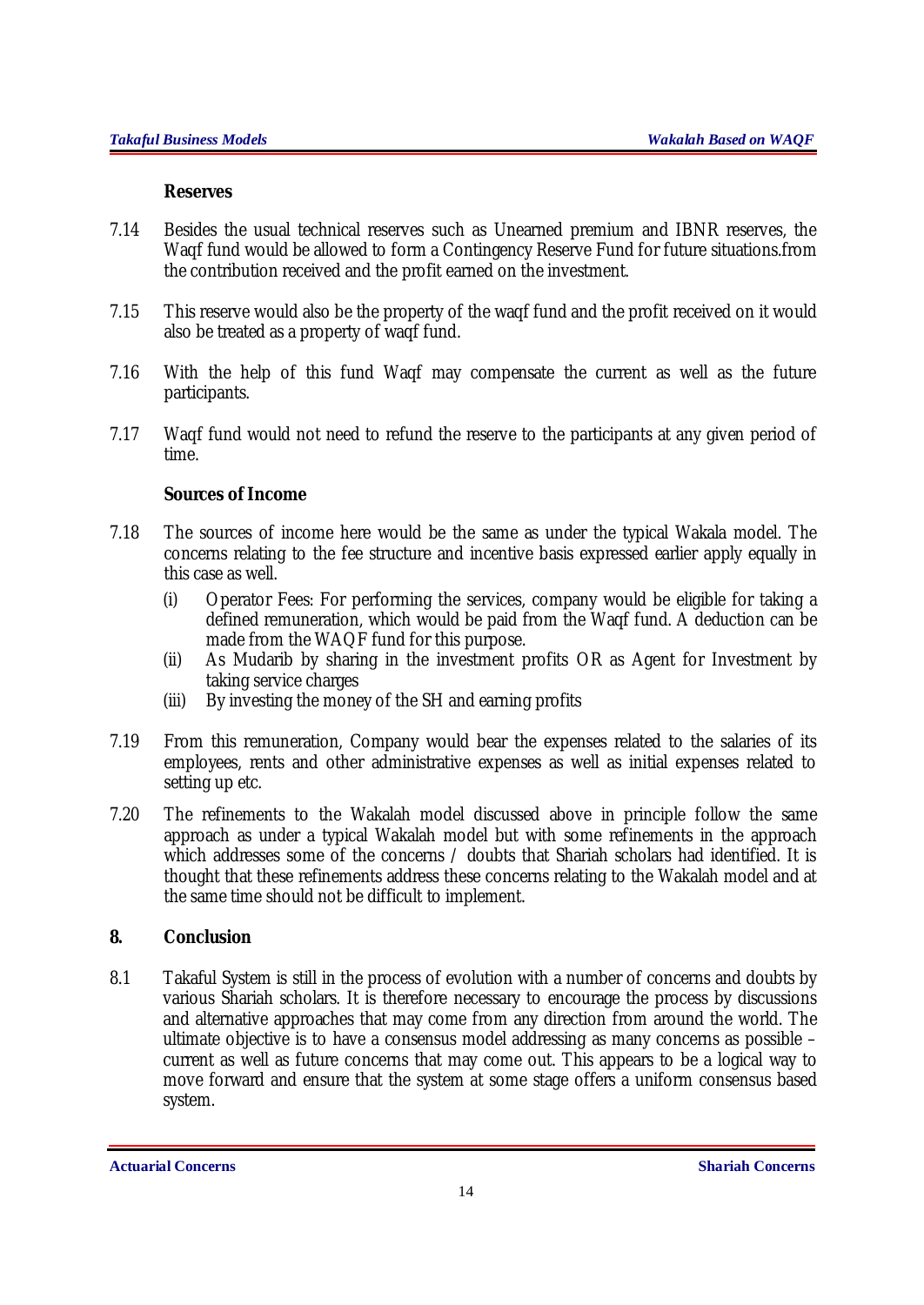#### **Reserves**

- 7.14 Besides the usual technical reserves such as Unearned premium and IBNR reserves, the Waqf fund would be allowed to form a Contingency Reserve Fund for future situations.from the contribution received and the profit earned on the investment.
- 7.15 This reserve would also be the property of the waqf fund and the profit received on it would also be treated as a property of waqf fund.
- 7.16 With the help of this fund Waqf may compensate the current as well as the future participants.
- 7.17 Waqf fund would not need to refund the reserve to the participants at any given period of time.

### **Sources of Income**

- 7.18 The sources of income here would be the same as under the typical Wakala model. The concerns relating to the fee structure and incentive basis expressed earlier apply equally in this case as well.
	- (i) Operator Fees: For performing the services, company would be eligible for taking a defined remuneration, which would be paid from the Waqf fund. A deduction can be made from the WAQF fund for this purpose.
	- (ii) As Mudarib by sharing in the investment profits OR as Agent for Investment by taking service charges
	- (iii) By investing the money of the SH and earning profits
- 7.19 From this remuneration, Company would bear the expenses related to the salaries of its employees, rents and other administrative expenses as well as initial expenses related to setting up etc.
- 7.20 The refinements to the Wakalah model discussed above in principle follow the same approach as under a typical Wakalah model but with some refinements in the approach which addresses some of the concerns / doubts that Shariah scholars had identified. It is thought that these refinements address these concerns relating to the Wakalah model and at the same time should not be difficult to implement.

## **8. Conclusion**

8.1 Takaful System is still in the process of evolution with a number of concerns and doubts by various Shariah scholars. It is therefore necessary to encourage the process by discussions and alternative approaches that may come from any direction from around the world. The ultimate objective is to have a consensus model addressing as many concerns as possible – current as well as future concerns that may come out. This appears to be a logical way to move forward and ensure that the system at some stage offers a uniform consensus based system.

**Actuarial Concerns Shariah Concerns**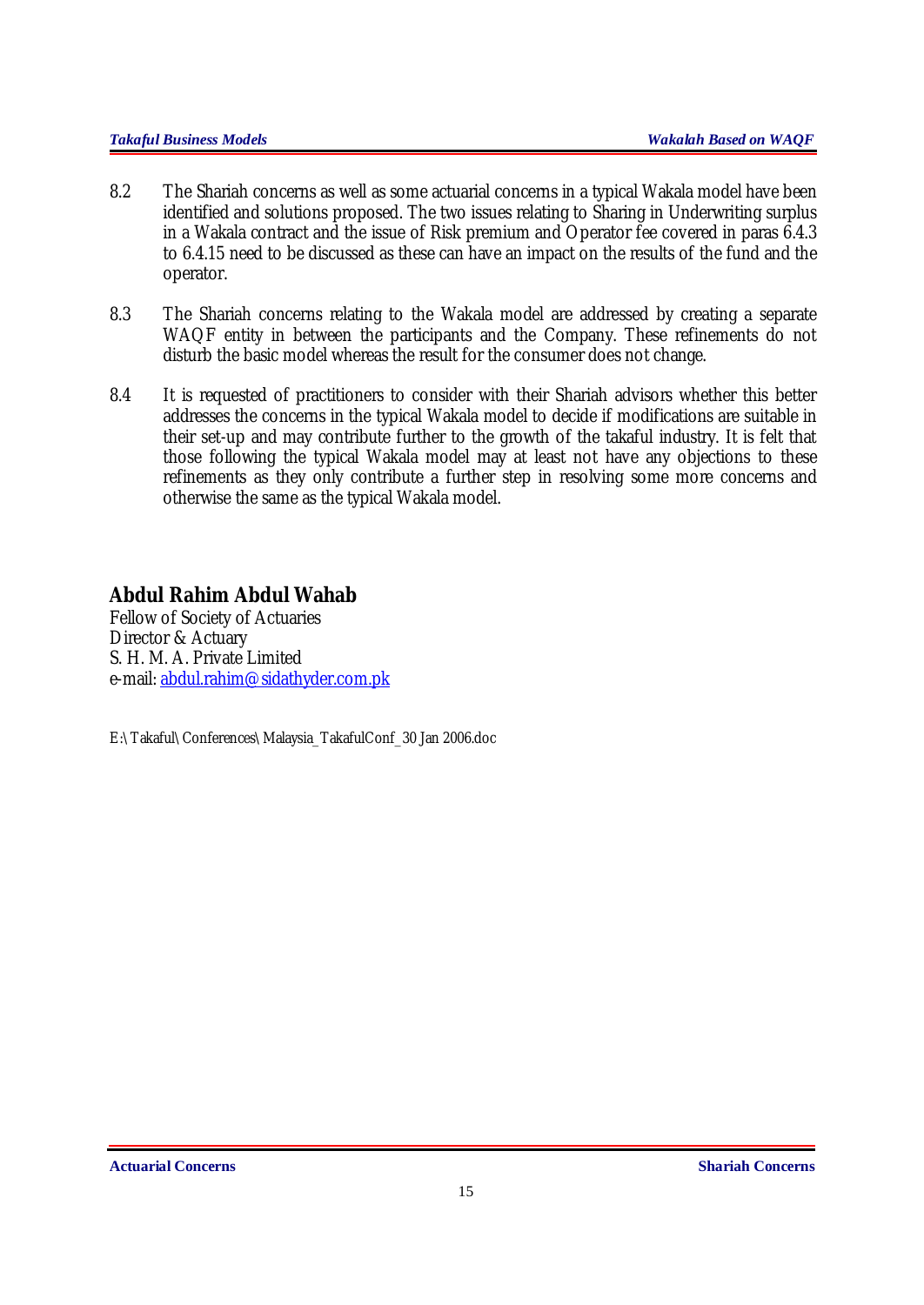- 8.2 The Shariah concerns as well as some actuarial concerns in a typical Wakala model have been identified and solutions proposed. The two issues relating to Sharing in Underwriting surplus in a Wakala contract and the issue of Risk premium and Operator fee covered in paras 6.4.3 to 6.4.15 need to be discussed as these can have an impact on the results of the fund and the operator.
- 8.3 The Shariah concerns relating to the Wakala model are addressed by creating a separate WAQF entity in between the participants and the Company. These refinements do not disturb the basic model whereas the result for the consumer does not change.
- 8.4 It is requested of practitioners to consider with their Shariah advisors whether this better addresses the concerns in the typical Wakala model to decide if modifications are suitable in their set-up and may contribute further to the growth of the takaful industry. It is felt that those following the typical Wakala model may at least not have any objections to these refinements as they only contribute a further step in resolving some more concerns and otherwise the same as the typical Wakala model.

## **Abdul Rahim Abdul Wahab**

Fellow of Society of Actuaries Director & Actuary S. H. M. A. Private Limited e-mail: [abdul.rahim@sidathyder.com.pk](mailto:abdul.rahim@sidathyder.com.pk)

E:\Takaful\Conferences\Malaysia\_TakafulConf\_30 Jan 2006.doc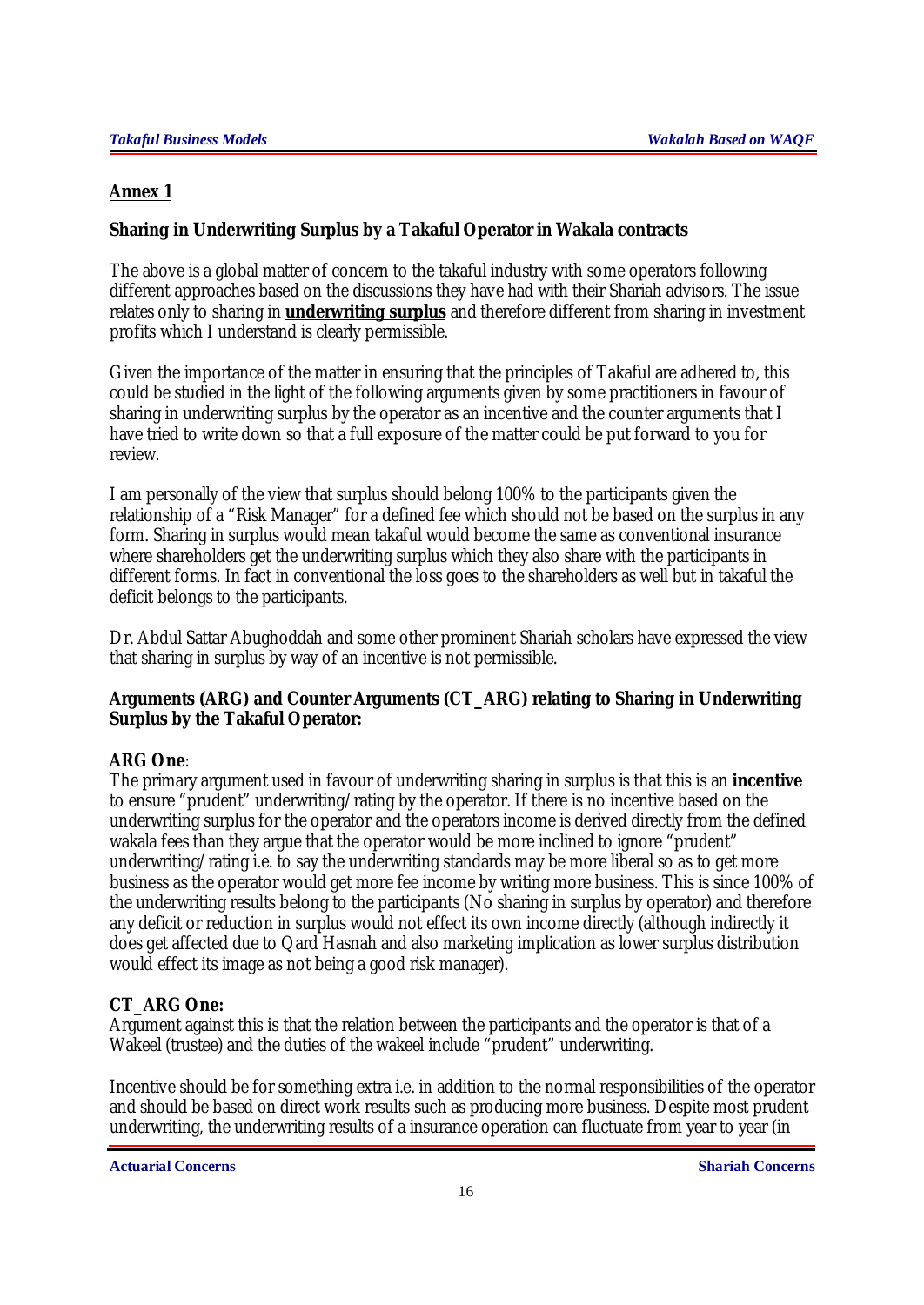## **Annex 1**

## **Sharing in Underwriting Surplus by a Takaful Operator in Wakala contracts**

The above is a global matter of concern to the takaful industry with some operators following different approaches based on the discussions they have had with their Shariah advisors. The issue relates only to sharing in **underwriting surplus** and therefore different from sharing in investment profits which I understand is clearly permissible.

Given the importance of the matter in ensuring that the principles of Takaful are adhered to, this could be studied in the light of the following arguments given by some practitioners in favour of sharing in underwriting surplus by the operator as an incentive and the counter arguments that I have tried to write down so that a full exposure of the matter could be put forward to you for review.

I am personally of the view that surplus should belong 100% to the participants given the relationship of a "Risk Manager" for a defined fee which should not be based on the surplus in any form. Sharing in surplus would mean takaful would become the same as conventional insurance where shareholders get the underwriting surplus which they also share with the participants in different forms. In fact in conventional the loss goes to the shareholders as well but in takaful the deficit belongs to the participants.

Dr. Abdul Sattar Abughoddah and some other prominent Shariah scholars have expressed the view that sharing in surplus by way of an incentive is not permissible.

## **Arguments (ARG) and Counter Arguments (CT\_ARG) relating to Sharing in Underwriting Surplus by the Takaful Operator:**

## **ARG One**:

The primary argument used in favour of underwriting sharing in surplus is that this is an **incentive** to ensure "prudent" underwriting/rating by the operator. If there is no incentive based on the underwriting surplus for the operator and the operators income is derived directly from the defined wakala fees than they argue that the operator would be more inclined to ignore "prudent" underwriting/rating i.e. to say the underwriting standards may be more liberal so as to get more business as the operator would get more fee income by writing more business. This is since 100% of the underwriting results belong to the participants (No sharing in surplus by operator) and therefore any deficit or reduction in surplus would not effect its own income directly (although indirectly it does get affected due to Qard Hasnah and also marketing implication as lower surplus distribution would effect its image as not being a good risk manager).

## **CT\_ARG One:**

Argument against this is that the relation between the participants and the operator is that of a Wakeel (trustee) and the duties of the wakeel include "prudent" underwriting.

Incentive should be for something extra i.e. in addition to the normal responsibilities of the operator and should be based on direct work results such as producing more business. Despite most prudent underwriting, the underwriting results of a insurance operation can fluctuate from year to year (in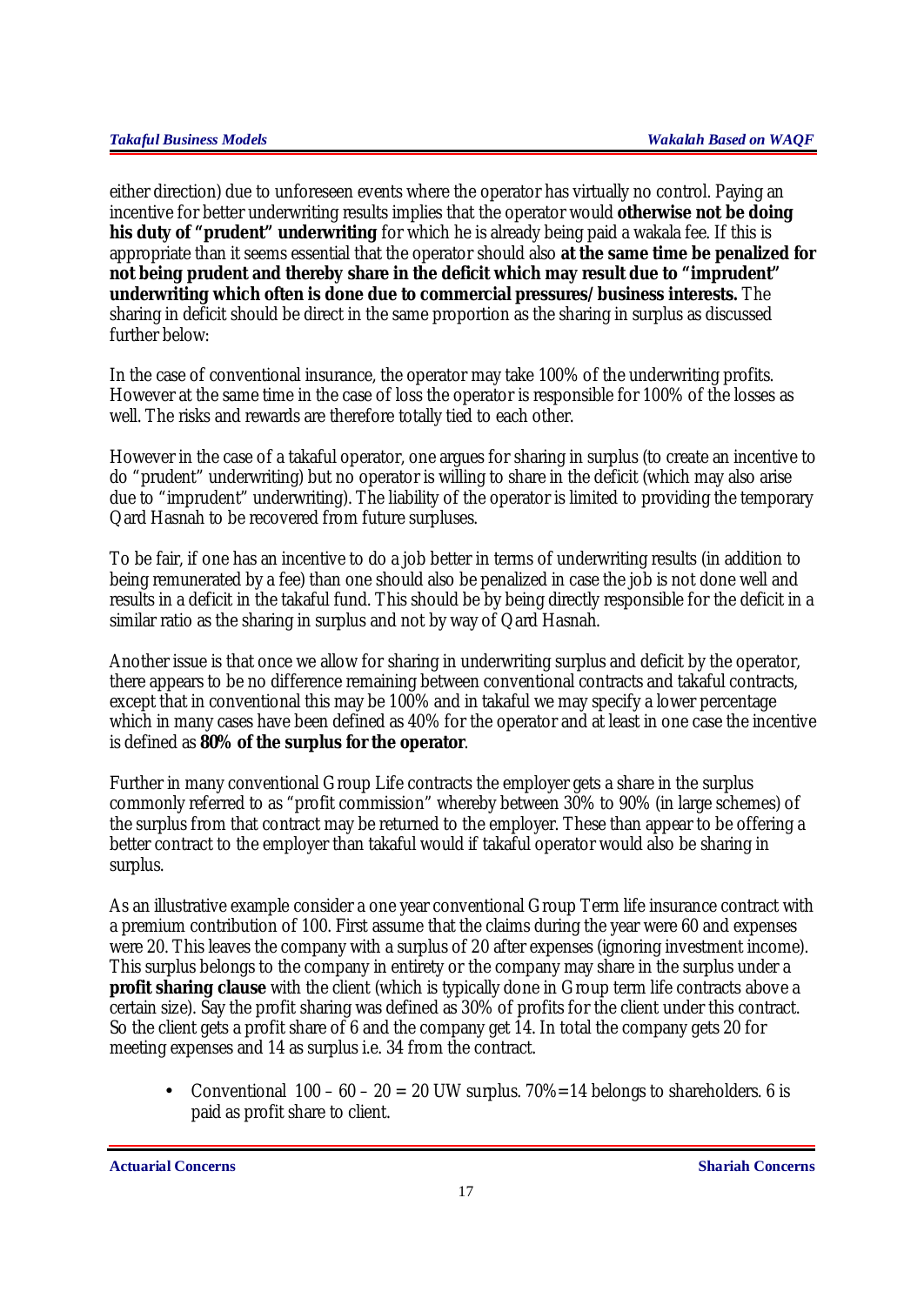either direction) due to unforeseen events where the operator has virtually no control. Paying an incentive for better underwriting results implies that the operator would **otherwise not be doing his duty of "prudent" underwriting** for which he is already being paid a wakala fee. If this is appropriate than it seems essential that the operator should also **at the same time be penalized for not being prudent and thereby share in the deficit which may result due to "imprudent" underwriting which often is done due to commercial pressures/business interests.** The sharing in deficit should be direct in the same proportion as the sharing in surplus as discussed further below:

In the case of conventional insurance, the operator may take 100% of the underwriting profits. However at the same time in the case of loss the operator is responsible for 100% of the losses as well. The risks and rewards are therefore totally tied to each other.

However in the case of a takaful operator, one argues for sharing in surplus (to create an incentive to do "prudent" underwriting) but no operator is willing to share in the deficit (which may also arise due to "imprudent" underwriting). The liability of the operator is limited to providing the temporary Qard Hasnah to be recovered from future surpluses.

To be fair, if one has an incentive to do a job better in terms of underwriting results (in addition to being remunerated by a fee) than one should also be penalized in case the job is not done well and results in a deficit in the takaful fund. This should be by being directly responsible for the deficit in a similar ratio as the sharing in surplus and not by way of Qard Hasnah.

Another issue is that once we allow for sharing in underwriting surplus and deficit by the operator, there appears to be no difference remaining between conventional contracts and takaful contracts, except that in conventional this may be 100% and in takaful we may specify a lower percentage which in many cases have been defined as 40% for the operator and at least in one case the incentive is defined as **80% of the surplus for the operator**.

Further in many conventional Group Life contracts the employer gets a share in the surplus commonly referred to as "profit commission" whereby between 30% to 90% (in large schemes) of the surplus from that contract may be returned to the employer. These than appear to be offering a better contract to the employer than takaful would if takaful operator would also be sharing in surplus.

As an illustrative example consider a one year conventional Group Term life insurance contract with a premium contribution of 100. First assume that the claims during the year were 60 and expenses were 20. This leaves the company with a surplus of 20 after expenses (ignoring investment income). This surplus belongs to the company in entirety or the company may share in the surplus under a **profit sharing clause** with the client (which is typically done in Group term life contracts above a certain size). Say the profit sharing was defined as 30% of profits for the client under this contract. So the client gets a profit share of 6 and the company get 14. In total the company gets 20 for meeting expenses and 14 as surplus i.e. 34 from the contract.

• Conventional  $100 - 60 - 20 = 20$  UW surplus.  $70\% = 14$  belongs to shareholders. 6 is paid as profit share to client.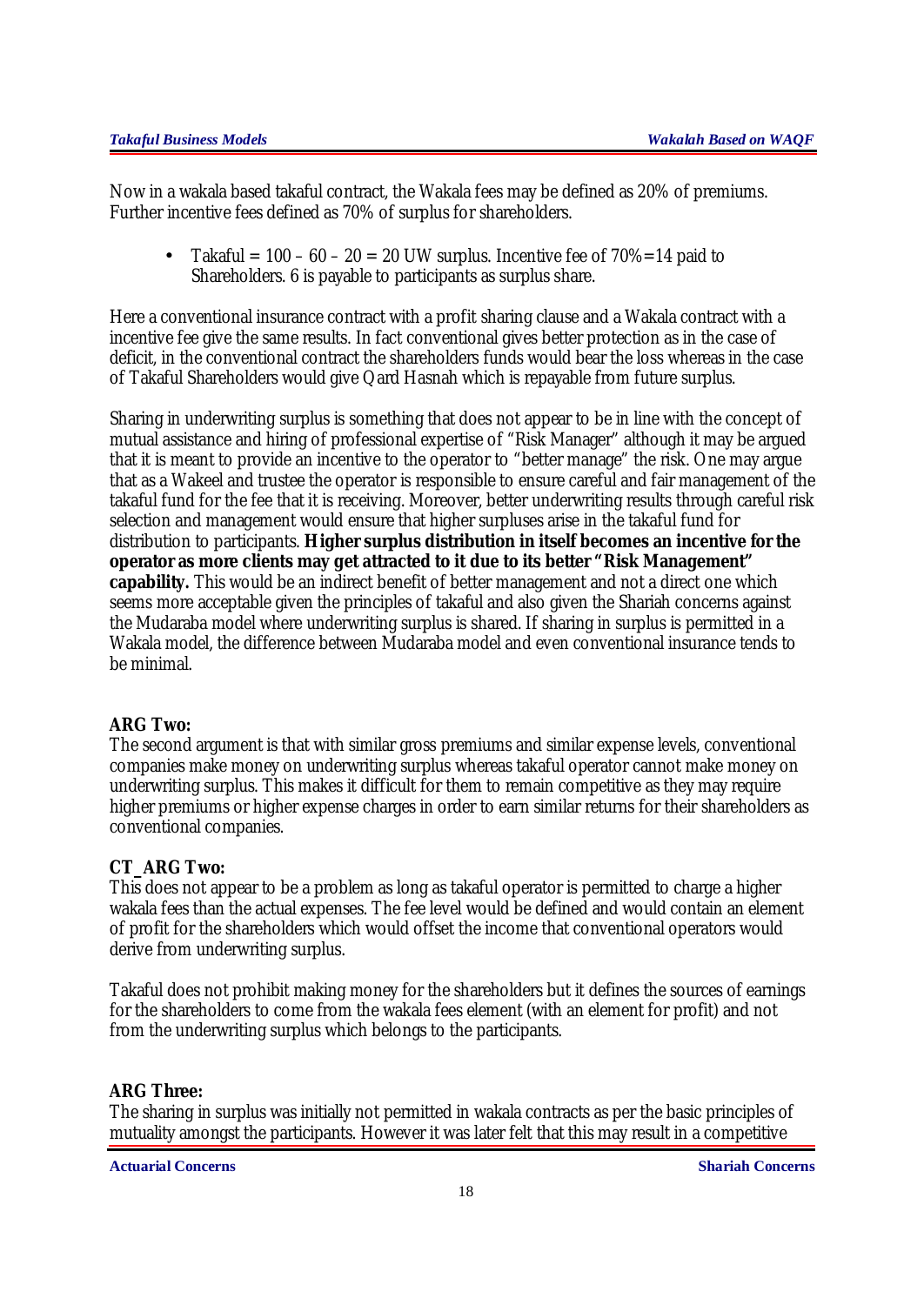Now in a wakala based takaful contract, the Wakala fees may be defined as 20% of premiums. Further incentive fees defined as 70% of surplus for shareholders.

• Takaful =  $100 - 60 - 20 = 20$  UW surplus. Incentive fee of  $70\% = 14$  paid to Shareholders. 6 is payable to participants as surplus share.

Here a conventional insurance contract with a profit sharing clause and a Wakala contract with a incentive fee give the same results. In fact conventional gives better protection as in the case of deficit, in the conventional contract the shareholders funds would bear the loss whereas in the case of Takaful Shareholders would give Qard Hasnah which is repayable from future surplus.

Sharing in underwriting surplus is something that does not appear to be in line with the concept of mutual assistance and hiring of professional expertise of "Risk Manager" although it may be argued that it is meant to provide an incentive to the operator to "better manage" the risk. One may argue that as a Wakeel and trustee the operator is responsible to ensure careful and fair management of the takaful fund for the fee that it is receiving. Moreover, better underwriting results through careful risk selection and management would ensure that higher surpluses arise in the takaful fund for distribution to participants. **Higher surplus distribution in itself becomes an incentive for the operator as more clients may get attracted to it due to its better "Risk Management" capability.** This would be an indirect benefit of better management and not a direct one which seems more acceptable given the principles of takaful and also given the Shariah concerns against the Mudaraba model where underwriting surplus is shared. If sharing in surplus is permitted in a Wakala model, the difference between Mudaraba model and even conventional insurance tends to be minimal.

## **ARG Two:**

The second argument is that with similar gross premiums and similar expense levels, conventional companies make money on underwriting surplus whereas takaful operator cannot make money on underwriting surplus. This makes it difficult for them to remain competitive as they may require higher premiums or higher expense charges in order to earn similar returns for their shareholders as conventional companies.

## **CT\_ARG Two:**

This does not appear to be a problem as long as takaful operator is permitted to charge a higher wakala fees than the actual expenses. The fee level would be defined and would contain an element of profit for the shareholders which would offset the income that conventional operators would derive from underwriting surplus.

Takaful does not prohibit making money for the shareholders but it defines the sources of earnings for the shareholders to come from the wakala fees element (with an element for profit) and not from the underwriting surplus which belongs to the participants.

#### **ARG Three:**

The sharing in surplus was initially not permitted in wakala contracts as per the basic principles of mutuality amongst the participants. However it was later felt that this may result in a competitive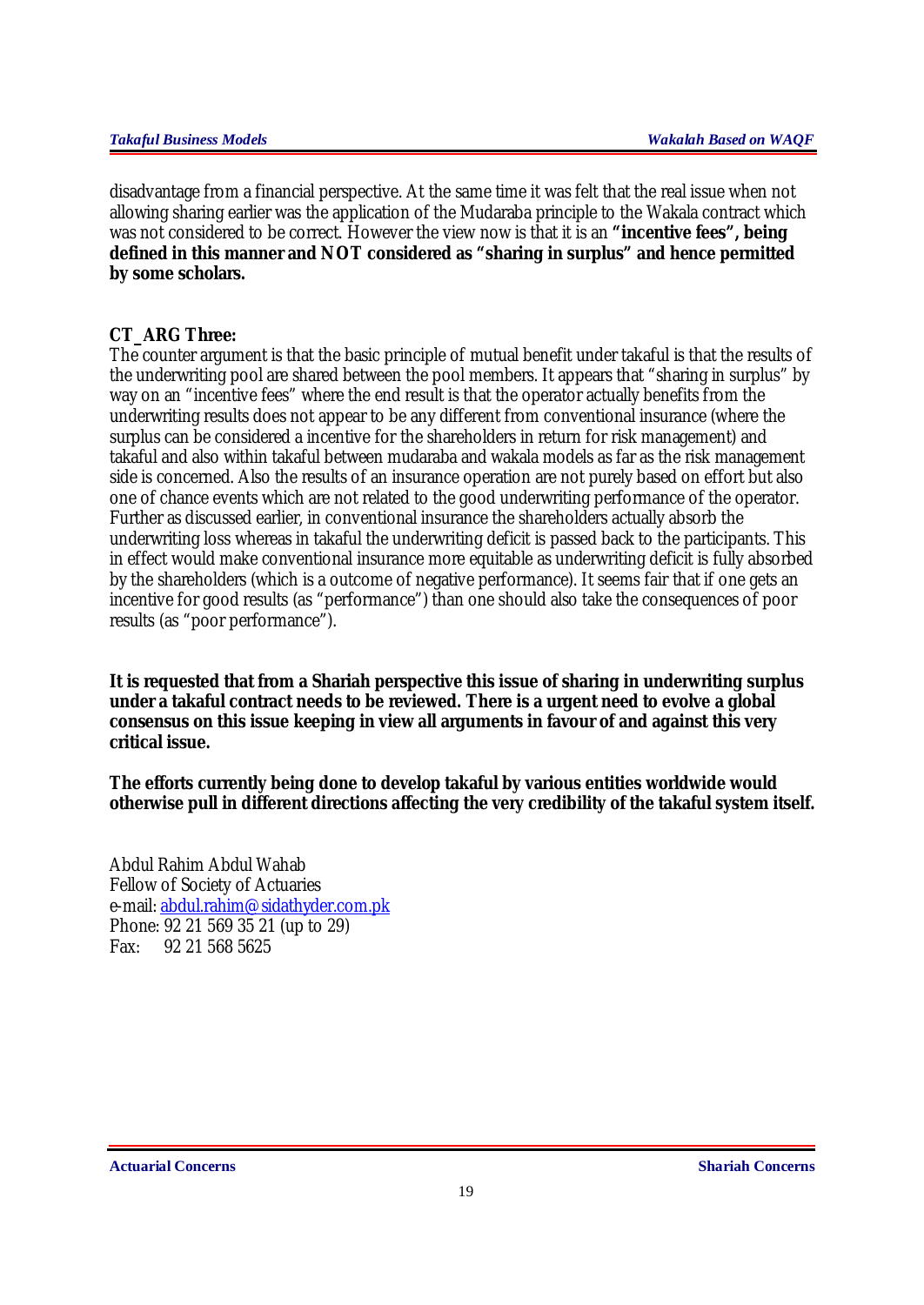disadvantage from a financial perspective. At the same time it was felt that the real issue when not allowing sharing earlier was the application of the Mudaraba principle to the Wakala contract which was not considered to be correct. However the view now is that it is an **"incentive fees", being defined in this manner and NOT considered as "sharing in surplus" and hence permitted by some scholars.**

## **CT\_ARG Three:**

The counter argument is that the basic principle of mutual benefit under takaful is that the results of the underwriting pool are shared between the pool members. It appears that "sharing in surplus" by way on an "incentive fees" where the end result is that the operator actually benefits from the underwriting results does not appear to be any different from conventional insurance (where the surplus can be considered a incentive for the shareholders in return for risk management) and takaful and also within takaful between mudaraba and wakala models as far as the risk management side is concerned. Also the results of an insurance operation are not purely based on effort but also one of chance events which are not related to the good underwriting performance of the operator. Further as discussed earlier, in conventional insurance the shareholders actually absorb the underwriting loss whereas in takaful the underwriting deficit is passed back to the participants. This in effect would make conventional insurance more equitable as underwriting deficit is fully absorbed by the shareholders (which is a outcome of negative performance). It seems fair that if one gets an incentive for good results (as "performance") than one should also take the consequences of poor results (as "poor performance").

**It is requested that from a Shariah perspective this issue of sharing in underwriting surplus under a takaful contract needs to be reviewed. There is a urgent need to evolve a global consensus on this issue keeping in view all arguments in favour of and against this very critical issue.** 

**The efforts currently being done to develop takaful by various entities worldwide would otherwise pull in different directions affecting the very credibility of the takaful system itself.**

Abdul Rahim Abdul Wahab Fellow of Society of Actuaries e-mail: [abdul.rahim@sidathyder.com.pk](mailto:abdul.rahim@sidathyder.com.pk) Phone: 92 21 569 35 21 (up to 29) Fax: 92 21 568 5625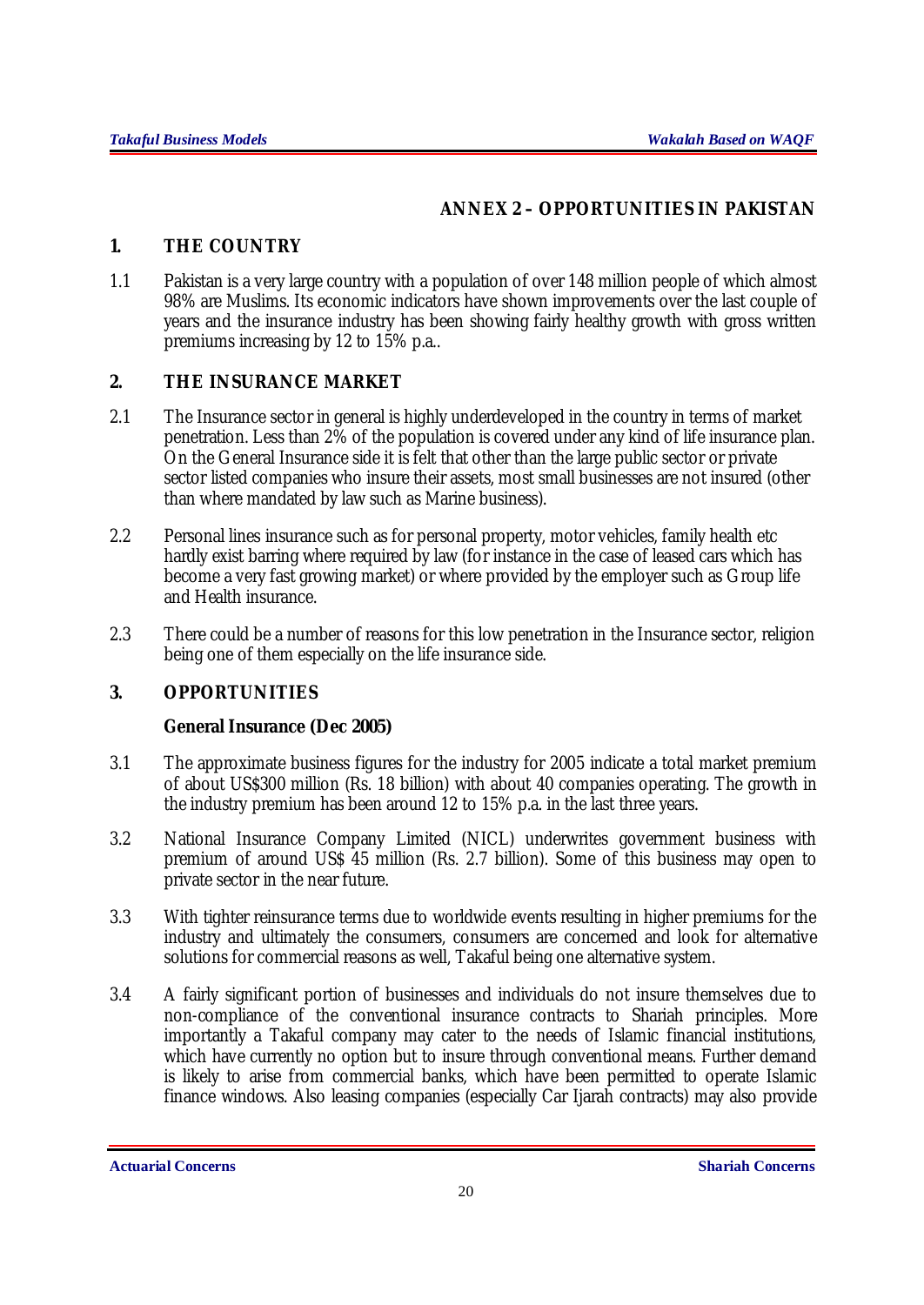## *ANNEX 2 – OPPORTUNITIES IN PAKISTAN*

## *1. THE COUNTRY*

1.1 Pakistan is a very large country with a population of over 148 million people of which almost 98% are Muslims. Its economic indicators have shown improvements over the last couple of years and the insurance industry has been showing fairly healthy growth with gross written premiums increasing by 12 to 15% p.a..

## *2. THE INSURANCE MARKET*

- 2.1 The Insurance sector in general is highly underdeveloped in the country in terms of market penetration. Less than 2% of the population is covered under any kind of life insurance plan. On the General Insurance side it is felt that other than the large public sector or private sector listed companies who insure their assets, most small businesses are not insured (other than where mandated by law such as Marine business).
- 2.2 Personal lines insurance such as for personal property, motor vehicles, family health etc hardly exist barring where required by law (for instance in the case of leased cars which has become a very fast growing market) or where provided by the employer such as Group life and Health insurance.
- 2.3 There could be a number of reasons for this low penetration in the Insurance sector, religion being one of them especially on the life insurance side.

## *3. OPPORTUNITIES*

## **General Insurance (Dec 2005)**

- 3.1 The approximate business figures for the industry for 2005 indicate a total market premium of about US\$300 million (Rs. 18 billion) with about 40 companies operating. The growth in the industry premium has been around 12 to 15% p.a. in the last three years.
- 3.2 National Insurance Company Limited (NICL) underwrites government business with premium of around US\$ 45 million (Rs. 2.7 billion). Some of this business may open to private sector in the near future.
- 3.3 With tighter reinsurance terms due to worldwide events resulting in higher premiums for the industry and ultimately the consumers, consumers are concerned and look for alternative solutions for commercial reasons as well, Takaful being one alternative system.
- 3.4 A fairly significant portion of businesses and individuals do not insure themselves due to non-compliance of the conventional insurance contracts to Shariah principles. More importantly a Takaful company may cater to the needs of Islamic financial institutions, which have currently no option but to insure through conventional means. Further demand is likely to arise from commercial banks, which have been permitted to operate Islamic finance windows. Also leasing companies (especially Car Ijarah contracts) may also provide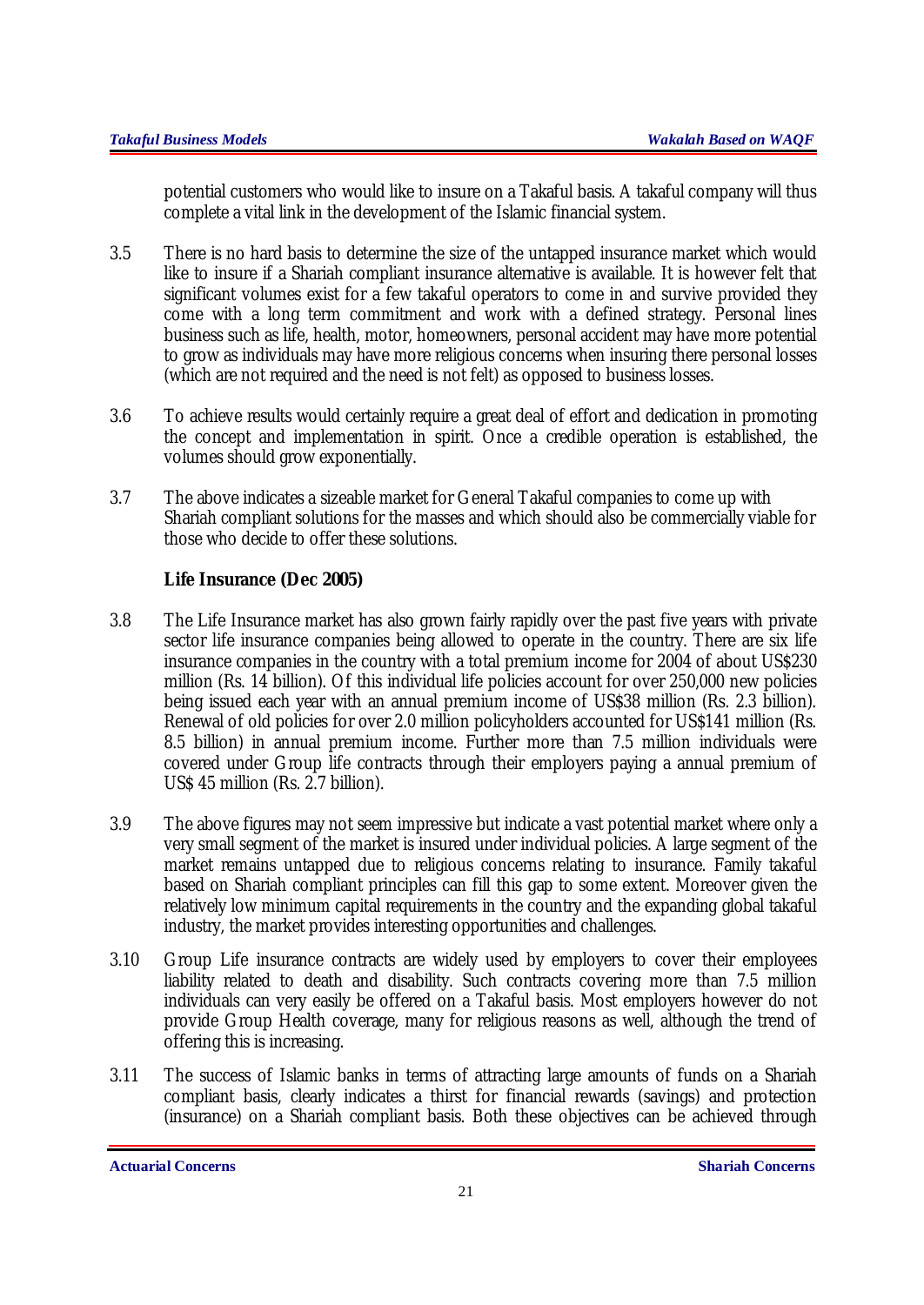potential customers who would like to insure on a Takaful basis. A takaful company will thus complete a vital link in the development of the Islamic financial system.

- 3.5 There is no hard basis to determine the size of the untapped insurance market which would like to insure if a Shariah compliant insurance alternative is available. It is however felt that significant volumes exist for a few takaful operators to come in and survive provided they come with a long term commitment and work with a defined strategy. Personal lines business such as life, health, motor, homeowners, personal accident may have more potential to grow as individuals may have more religious concerns when insuring there personal losses (which are not required and the need is not felt) as opposed to business losses.
- 3.6 To achieve results would certainly require a great deal of effort and dedication in promoting the concept and implementation in spirit. Once a credible operation is established, the volumes should grow exponentially.
- 3.7 The above indicates a sizeable market for General Takaful companies to come up with Shariah compliant solutions for the masses and which should also be commercially viable for those who decide to offer these solutions.

## **Life Insurance (Dec 2005)**

- 3.8 The Life Insurance market has also grown fairly rapidly over the past five years with private sector life insurance companies being allowed to operate in the country. There are six life insurance companies in the country with a total premium income for 2004 of about US\$230 million (Rs. 14 billion). Of this individual life policies account for over 250,000 new policies being issued each year with an annual premium income of US\$38 million (Rs. 2.3 billion). Renewal of old policies for over 2.0 million policyholders accounted for US\$141 million (Rs. 8.5 billion) in annual premium income. Further more than 7.5 million individuals were covered under Group life contracts through their employers paying a annual premium of US\$ 45 million (Rs. 2.7 billion).
- 3.9 The above figures may not seem impressive but indicate a vast potential market where only a very small segment of the market is insured under individual policies. A large segment of the market remains untapped due to religious concerns relating to insurance. Family takaful based on Shariah compliant principles can fill this gap to some extent. Moreover given the relatively low minimum capital requirements in the country and the expanding global takaful industry, the market provides interesting opportunities and challenges.
- 3.10 Group Life insurance contracts are widely used by employers to cover their employees liability related to death and disability. Such contracts covering more than 7.5 million individuals can very easily be offered on a Takaful basis. Most employers however do not provide Group Health coverage, many for religious reasons as well, although the trend of offering this is increasing.
- 3.11 The success of Islamic banks in terms of attracting large amounts of funds on a Shariah compliant basis, clearly indicates a thirst for financial rewards (savings) and protection (insurance) on a Shariah compliant basis. Both these objectives can be achieved through